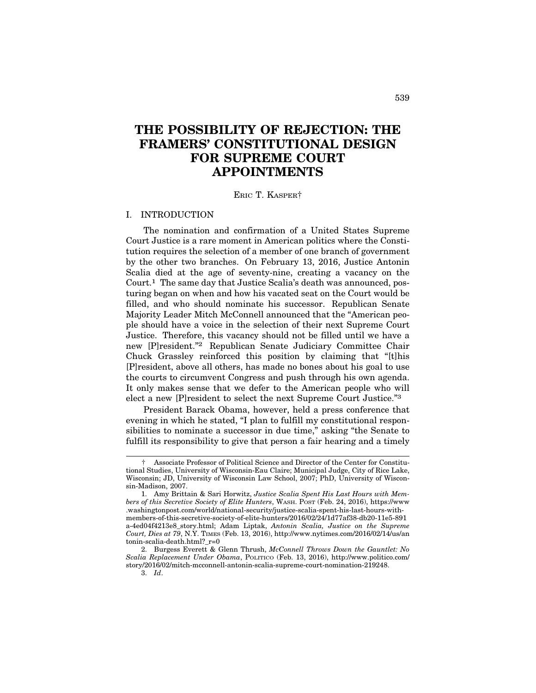# **THE POSSIBILITY OF REJECTION: THE FRAMERS' CONSTITUTIONAL DESIGN FOR SUPREME COURT APPOINTMENTS**

ERIC T. KASPER†

#### I. INTRODUCTION

The nomination and confirmation of a United States Supreme Court Justice is a rare moment in American politics where the Constitution requires the selection of a member of one branch of government by the other two branches. On February 13, 2016, Justice Antonin Scalia died at the age of seventy-nine, creating a vacancy on the Court.1 The same day that Justice Scalia's death was announced, posturing began on when and how his vacated seat on the Court would be filled, and who should nominate his successor. Republican Senate Majority Leader Mitch McConnell announced that the "American people should have a voice in the selection of their next Supreme Court Justice. Therefore, this vacancy should not be filled until we have a new [P]resident."2 Republican Senate Judiciary Committee Chair Chuck Grassley reinforced this position by claiming that "[t]his [P]resident, above all others, has made no bones about his goal to use the courts to circumvent Congress and push through his own agenda. It only makes sense that we defer to the American people who will elect a new [P]resident to select the next Supreme Court Justice."3

President Barack Obama, however, held a press conference that evening in which he stated, "I plan to fulfill my constitutional responsibilities to nominate a successor in due time," asking "the Senate to fulfill its responsibility to give that person a fair hearing and a timely

<sup>†</sup> Associate Professor of Political Science and Director of the Center for Constitutional Studies, University of Wisconsin-Eau Claire; Municipal Judge, City of Rice Lake, Wisconsin; JD, University of Wisconsin Law School, 2007; PhD, University of Wisconsin-Madison, 2007.

<sup>1.</sup> Amy Brittain & Sari Horwitz, *Justice Scalia Spent His Last Hours with Members of this Secretive Society of Elite Hunters*, WASH. POST (Feb. 24, 2016), https://www .washingtonpost.com/world/national-security/justice-scalia-spent-his-last-hours-withmembers-of-this-secretive-society-of-elite-hunters/2016/02/24/1d77af38-db20-11e5-891 a-4ed04f4213e8\_story.html; Adam Liptak, *Antonin Scalia, Justice on the Supreme Court, Dies at 79*, N.Y. TIMES (Feb. 13, 2016), http://www.nytimes.com/2016/02/14/us/an tonin-scalia-death.html?\_r=0

<sup>2.</sup> Burgess Everett & Glenn Thrush, *McConnell Throws Down the Gauntlet: No Scalia Replacement Under Obama*, POLITICO (Feb. 13, 2016), http://www.politico.com/ story/2016/02/mitch-mcconnell-antonin-scalia-supreme-court-nomination-219248.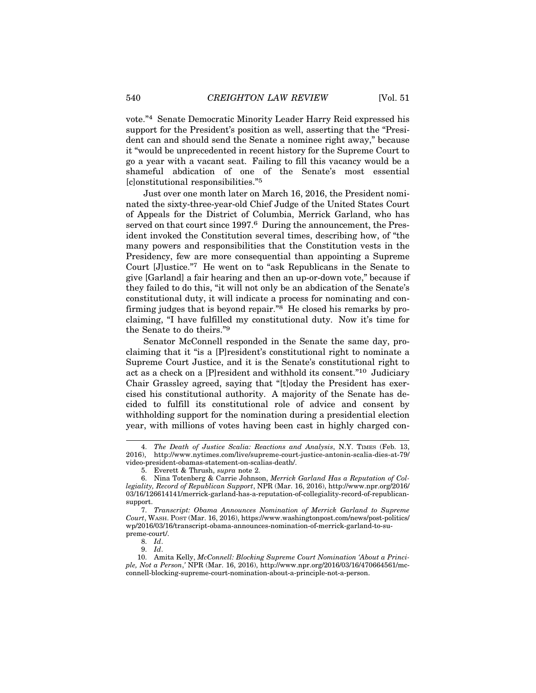vote."4 Senate Democratic Minority Leader Harry Reid expressed his support for the President's position as well, asserting that the "President can and should send the Senate a nominee right away," because it "would be unprecedented in recent history for the Supreme Court to go a year with a vacant seat. Failing to fill this vacancy would be a shameful abdication of one of the Senate's most essential [c]onstitutional responsibilities."5

Just over one month later on March 16, 2016, the President nominated the sixty-three-year-old Chief Judge of the United States Court of Appeals for the District of Columbia, Merrick Garland, who has served on that court since 1997.<sup>6</sup> During the announcement, the President invoked the Constitution several times, describing how, of "the many powers and responsibilities that the Constitution vests in the Presidency, few are more consequential than appointing a Supreme Court [J]ustice."7 He went on to "ask Republicans in the Senate to give [Garland] a fair hearing and then an up-or-down vote," because if they failed to do this, "it will not only be an abdication of the Senate's constitutional duty, it will indicate a process for nominating and confirming judges that is beyond repair.<sup>"8</sup> He closed his remarks by proclaiming, "I have fulfilled my constitutional duty. Now it's time for the Senate to do theirs."9

Senator McConnell responded in the Senate the same day, proclaiming that it "is a [P]resident's constitutional right to nominate a Supreme Court Justice, and it is the Senate's constitutional right to act as a check on a [P]resident and withhold its consent."10 Judiciary Chair Grassley agreed, saying that "[t]oday the President has exercised his constitutional authority. A majority of the Senate has decided to fulfill its constitutional role of advice and consent by withholding support for the nomination during a presidential election year, with millions of votes having been cast in highly charged con-

<sup>4.</sup> *The Death of Justice Scalia: Reactions and Analysis*, N.Y. TIMES (Feb. 13, 2016), http://www.nytimes.com/live/supreme-court-justice-antonin-scalia-dies-at-79/ video-president-obamas-statement-on-scalias-death/.

<sup>5.</sup> Everett & Thrush, *supra* note 2.

<sup>6.</sup> Nina Totenberg & Carrie Johnson, *Merrick Garland Has a Reputation of Collegiality, Record of Republican Support*, NPR (Mar. 16, 2016), http://www.npr.org/2016/ 03/16/126614141/merrick-garland-has-a-reputation-of-collegiality-record-of-republicansupport.

<sup>7.</sup> *Transcript: Obama Announces Nomination of Merrick Garland to Supreme Court*, WASH. POST (Mar. 16, 2016), https://www.washingtonpost.com/news/post-politics/ wp/2016/03/16/transcript-obama-announces-nomination-of-merrick-garland-to-supreme-court/.

<sup>8.</sup> *Id*.

<sup>9.</sup> *Id*.

<sup>10.</sup> Amita Kelly, *McConnell: Blocking Supreme Court Nomination 'About a Principle, Not a Person*,*'* NPR (Mar. 16, 2016), http://www.npr.org/2016/03/16/470664561/mcconnell-blocking-supreme-court-nomination-about-a-principle-not-a-person.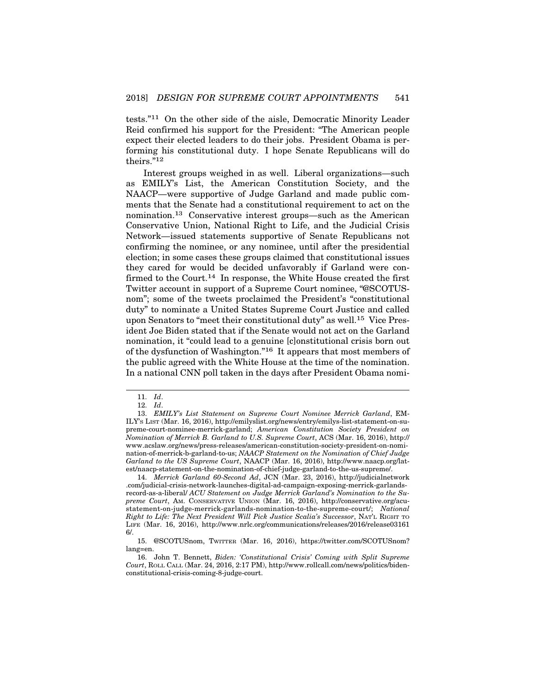tests."11 On the other side of the aisle, Democratic Minority Leader Reid confirmed his support for the President: "The American people expect their elected leaders to do their jobs. President Obama is performing his constitutional duty. I hope Senate Republicans will do theirs."12

Interest groups weighed in as well. Liberal organizations—such as EMILY's List, the American Constitution Society, and the NAACP—were supportive of Judge Garland and made public comments that the Senate had a constitutional requirement to act on the nomination.13 Conservative interest groups—such as the American Conservative Union, National Right to Life, and the Judicial Crisis Network—issued statements supportive of Senate Republicans not confirming the nominee, or any nominee, until after the presidential election; in some cases these groups claimed that constitutional issues they cared for would be decided unfavorably if Garland were confirmed to the Court.<sup>14</sup> In response, the White House created the first Twitter account in support of a Supreme Court nominee, "@SCOTUSnom"; some of the tweets proclaimed the President's "constitutional duty" to nominate a United States Supreme Court Justice and called upon Senators to "meet their constitutional duty" as well.15 Vice President Joe Biden stated that if the Senate would not act on the Garland nomination, it "could lead to a genuine [c]onstitutional crisis born out of the dysfunction of Washington."16 It appears that most members of the public agreed with the White House at the time of the nomination. In a national CNN poll taken in the days after President Obama nomi-

14. *Merrick Garland 60-Second Ad*, JCN (Mar. 23, 2016), http://judicialnetwork .com/judicial-crisis-network-launches-digital-ad-campaign-exposing-merrick-garlandsrecord-as-a-liberal/ *ACU Statement on Judge Merrick Garland's Nomination to the Supreme Court*, AM. CONSERVATIVE UNION (Mar. 16, 2016), http://conservative.org/acustatement-on-judge-merrick-garlands-nomination-to-the-supreme-court/; *National Right to Life: The Next President Will Pick Justice Scalia's Successor*, NAT'L RIGHT TO LIFE (Mar. 16, 2016), http://www.nrlc.org/communications/releases/2016/release03161 6/.

<sup>11.</sup> *Id*.

<sup>12.</sup> *Id*.

<sup>13.</sup> *EMILY's List Statement on Supreme Court Nominee Merrick Garland*, EM-ILY'S LIST (Mar. 16, 2016), http://emilyslist.org/news/entry/emilys-list-statement-on-supreme-court-nominee-merrick-garland; *American Constitution Society President on Nomination of Merrick B. Garland to U.S. Supreme Court*, ACS (Mar. 16, 2016), http:// www.acslaw.org/news/press-releases/american-constitution-society-president-on-nomination-of-merrick-b-garland-to-us; *NAACP Statement on the Nomination of Chief Judge Garland to the US Supreme Court*, NAACP (Mar. 16, 2016), http://www.naacp.org/latest/naacp-statement-on-the-nomination-of-chief-judge-garland-to-the-us-supreme/.

<sup>15. @</sup>SCOTUSnom, TWITTER (Mar. 16, 2016), https://twitter.com/SCOTUSnom? lang=en.

<sup>16.</sup> John T. Bennett, *Biden: 'Constitutional Crisis' Coming with Split Supreme Court*, ROLL CALL (Mar. 24, 2016, 2:17 PM), http://www.rollcall.com/news/politics/bidenconstitutional-crisis-coming-8-judge-court.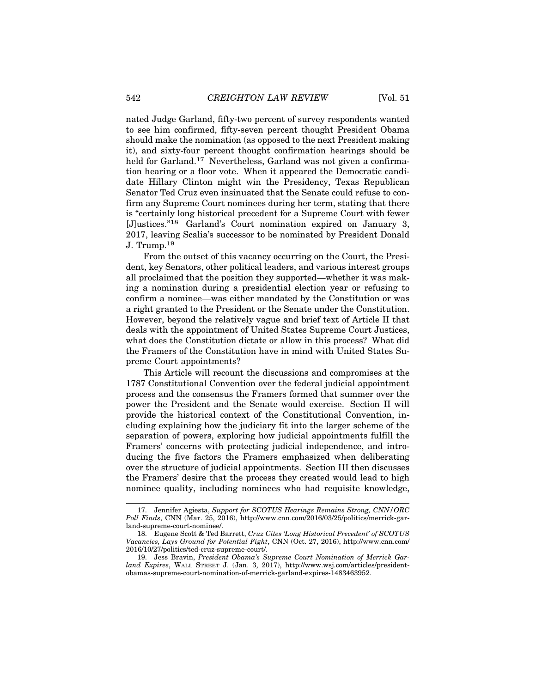nated Judge Garland, fifty-two percent of survey respondents wanted to see him confirmed, fifty-seven percent thought President Obama should make the nomination (as opposed to the next President making it), and sixty-four percent thought confirmation hearings should be held for Garland.<sup>17</sup> Nevertheless, Garland was not given a confirmation hearing or a floor vote. When it appeared the Democratic candidate Hillary Clinton might win the Presidency, Texas Republican Senator Ted Cruz even insinuated that the Senate could refuse to confirm any Supreme Court nominees during her term, stating that there is "certainly long historical precedent for a Supreme Court with fewer [J]ustices."18 Garland's Court nomination expired on January 3, 2017, leaving Scalia's successor to be nominated by President Donald J. Trump.<sup>19</sup>

From the outset of this vacancy occurring on the Court, the President, key Senators, other political leaders, and various interest groups all proclaimed that the position they supported—whether it was making a nomination during a presidential election year or refusing to confirm a nominee—was either mandated by the Constitution or was a right granted to the President or the Senate under the Constitution. However, beyond the relatively vague and brief text of Article II that deals with the appointment of United States Supreme Court Justices, what does the Constitution dictate or allow in this process? What did the Framers of the Constitution have in mind with United States Supreme Court appointments?

This Article will recount the discussions and compromises at the 1787 Constitutional Convention over the federal judicial appointment process and the consensus the Framers formed that summer over the power the President and the Senate would exercise. Section II will provide the historical context of the Constitutional Convention, including explaining how the judiciary fit into the larger scheme of the separation of powers, exploring how judicial appointments fulfill the Framers' concerns with protecting judicial independence, and introducing the five factors the Framers emphasized when deliberating over the structure of judicial appointments. Section III then discusses the Framers' desire that the process they created would lead to high nominee quality, including nominees who had requisite knowledge,

<sup>17.</sup> Jennifer Agiesta, *Support for SCOTUS Hearings Remains Strong, CNN/ORC Poll Finds*, CNN (Mar. 25, 2016), http://www.cnn.com/2016/03/25/politics/merrick-garland-supreme-court-nominee/.

<sup>18.</sup> Eugene Scott & Ted Barrett, *Cruz Cites 'Long Historical Precedent' of SCOTUS Vacancies, Lays Ground for Potential Fight*, CNN (Oct. 27, 2016), http://www.cnn.com/ 2016/10/27/politics/ted-cruz-supreme-court/.

<sup>19.</sup> Jess Bravin, *President Obama's Supreme Court Nomination of Merrick Garland Expires*, WALL STREET J. (Jan. 3, 2017), http://www.wsj.com/articles/presidentobamas-supreme-court-nomination-of-merrick-garland-expires-1483463952.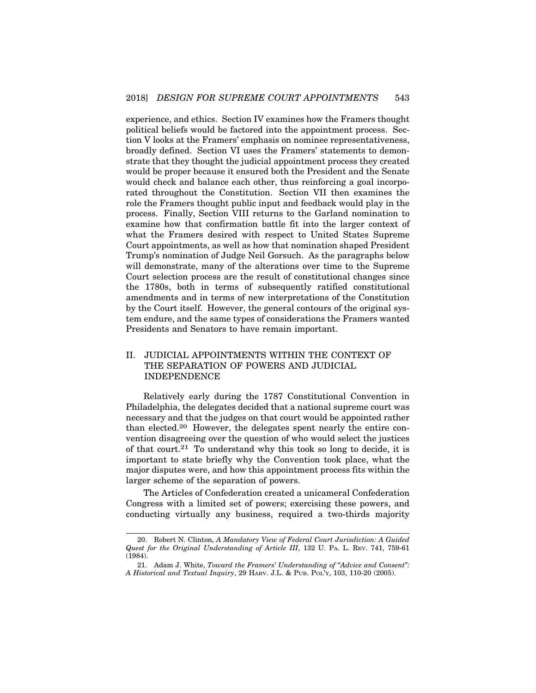experience, and ethics. Section IV examines how the Framers thought political beliefs would be factored into the appointment process. Section V looks at the Framers' emphasis on nominee representativeness, broadly defined. Section VI uses the Framers' statements to demonstrate that they thought the judicial appointment process they created would be proper because it ensured both the President and the Senate would check and balance each other, thus reinforcing a goal incorporated throughout the Constitution. Section VII then examines the role the Framers thought public input and feedback would play in the process. Finally, Section VIII returns to the Garland nomination to examine how that confirmation battle fit into the larger context of what the Framers desired with respect to United States Supreme Court appointments, as well as how that nomination shaped President Trump's nomination of Judge Neil Gorsuch. As the paragraphs below will demonstrate, many of the alterations over time to the Supreme Court selection process are the result of constitutional changes since the 1780s, both in terms of subsequently ratified constitutional amendments and in terms of new interpretations of the Constitution by the Court itself. However, the general contours of the original system endure, and the same types of considerations the Framers wanted Presidents and Senators to have remain important.

# II. JUDICIAL APPOINTMENTS WITHIN THE CONTEXT OF THE SEPARATION OF POWERS AND JUDICIAL INDEPENDENCE

Relatively early during the 1787 Constitutional Convention in Philadelphia, the delegates decided that a national supreme court was necessary and that the judges on that court would be appointed rather than elected.20 However, the delegates spent nearly the entire convention disagreeing over the question of who would select the justices of that court.<sup>21</sup> To understand why this took so long to decide, it is important to state briefly why the Convention took place, what the major disputes were, and how this appointment process fits within the larger scheme of the separation of powers.

The Articles of Confederation created a unicameral Confederation Congress with a limited set of powers; exercising these powers, and conducting virtually any business, required a two-thirds majority

<sup>20.</sup> Robert N. Clinton, *A Mandatory View of Federal Court Jurisdiction: A Guided Quest for the Original Understanding of Article III*, 132 U. PA. L. REV. 741, 759-61 (1984).

<sup>21.</sup> Adam J. White, *Toward the Framers' Understanding of "Advice and Consent": A Historical and Textual Inquiry*, 29 HARV. J.L. & PUB. POL'Y, 103, 110-20 (2005).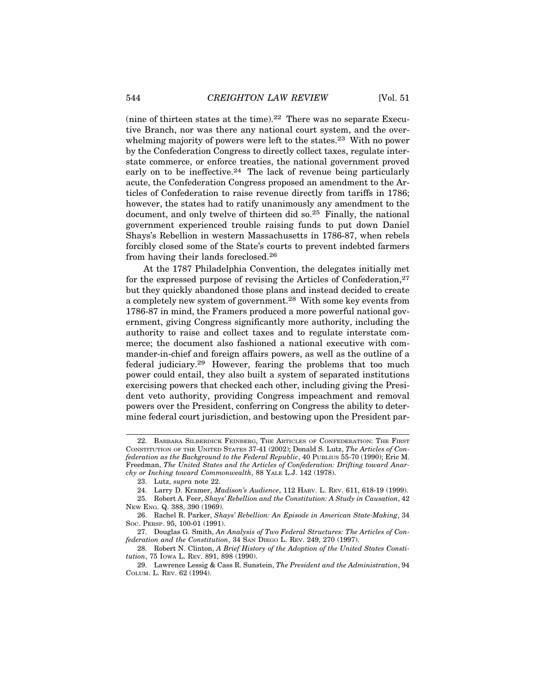(nine of thirteen states at the time).<sup>22</sup> There was no separate Executive Branch, nor was there any national court system, and the overwhelming majority of powers were left to the states.<sup>23</sup> With no power by the Confederation Congress to directly collect taxes, regulate interstate commerce, or enforce treaties, the national government proved early on to be ineffective.<sup>24</sup> The lack of revenue being particularly acute, the Confederation Congress proposed an amendment to the Articles of Confederation to raise revenue directly from tariffs in 1786; however, the states had to ratify unanimously any amendment to the document, and only twelve of thirteen did so.25 Finally, the national government experienced trouble raising funds to put down Daniel Shays's Rebellion in western Massachusetts in 1786-87, when rebels forcibly closed some of the State's courts to prevent indebted farmers from having their lands foreclosed.26

At the 1787 Philadelphia Convention, the delegates initially met for the expressed purpose of revising the Articles of Confederation,27 but they quickly abandoned those plans and instead decided to create a completely new system of government.28 With some key events from 1786-87 in mind, the Framers produced a more powerful national government, giving Congress significantly more authority, including the authority to raise and collect taxes and to regulate interstate commerce; the document also fashioned a national executive with commander-in-chief and foreign affairs powers, as well as the outline of a federal judiciary.29 However, fearing the problems that too much power could entail, they also built a system of separated institutions exercising powers that checked each other, including giving the President veto authority, providing Congress impeachment and removal powers over the President, conferring on Congress the ability to determine federal court jurisdiction, and bestowing upon the President par-

24. Larry D. Kramer, *Madison's Audience*, 112 HARV. L. REV. 611, 618-19 (1999).

<sup>22.</sup> BARBARA SILBERDICK FEINBERG, THE ARTICLES OF CONFEDERATION: THE FIRST CONSTITUTION OF THE UNITED STATES 37-41 (2002); Donald S. Lutz, *The Articles of Confederation as the Background to the Federal Republic*, 40 PUBLIUS 55-70 (1990); Eric M. Freedman, *The United States and the Articles of Confederation: Drifting toward Anarchy or Inching toward Commonwealth*, 88 YALE L.J. 142 (1978).

<sup>23.</sup> Lutz, *supra* note 22.

<sup>25.</sup> Robert A. Feer, *Shays' Rebellion and the Constitution: A Study in Causation*, 42 NEW ENG. Q. 388, 390 (1969).

<sup>26.</sup> Rachel R. Parker, *Shays' Rebellion: An Episode in American State-Making*, 34 SOC. PERSP. 95, 100-01 (1991).

<sup>27.</sup> Douglas G. Smith, *An Analysis of Two Federal Structures: The Articles of Confederation and the Constitution*, 34 SAN DIEGO L. REV. 249, 270 (1997).

<sup>28.</sup> Robert N. Clinton, *A Brief History of the Adoption of the United States Constitution*, 75 IOWA L. REV. 891, 898 (1990).

<sup>29.</sup> Lawrence Lessig & Cass R. Sunstein, *The President and the Administration*, 94 COLUM. L. REV. 62 (1994).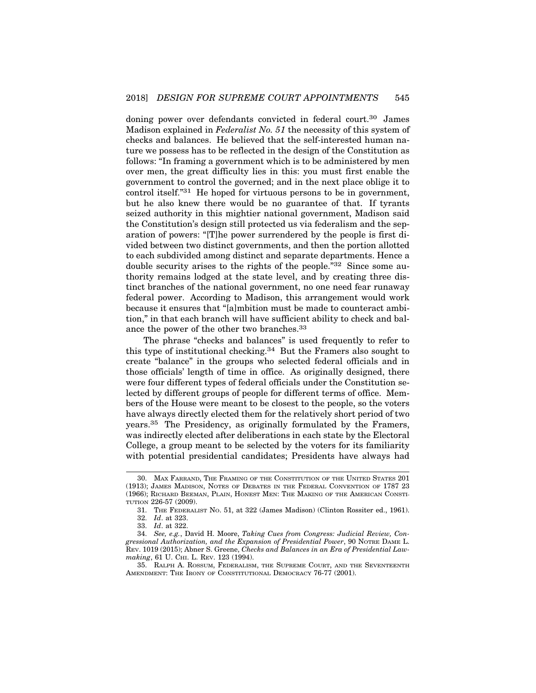doning power over defendants convicted in federal court.30 James Madison explained in *Federalist No. 51* the necessity of this system of checks and balances. He believed that the self-interested human nature we possess has to be reflected in the design of the Constitution as follows: "In framing a government which is to be administered by men over men, the great difficulty lies in this: you must first enable the government to control the governed; and in the next place oblige it to control itself."31 He hoped for virtuous persons to be in government, but he also knew there would be no guarantee of that. If tyrants seized authority in this mightier national government, Madison said the Constitution's design still protected us via federalism and the separation of powers: "[T]he power surrendered by the people is first divided between two distinct governments, and then the portion allotted to each subdivided among distinct and separate departments. Hence a double security arises to the rights of the people."32 Since some authority remains lodged at the state level, and by creating three distinct branches of the national government, no one need fear runaway federal power. According to Madison, this arrangement would work because it ensures that "[a]mbition must be made to counteract ambition," in that each branch will have sufficient ability to check and balance the power of the other two branches.33

The phrase "checks and balances" is used frequently to refer to this type of institutional checking.34 But the Framers also sought to create "balance" in the groups who selected federal officials and in those officials' length of time in office. As originally designed, there were four different types of federal officials under the Constitution selected by different groups of people for different terms of office. Members of the House were meant to be closest to the people, so the voters have always directly elected them for the relatively short period of two years.35 The Presidency, as originally formulated by the Framers, was indirectly elected after deliberations in each state by the Electoral College, a group meant to be selected by the voters for its familiarity with potential presidential candidates; Presidents have always had

<sup>30.</sup> MAX FARRAND, THE FRAMING OF THE CONSTITUTION OF THE UNITED STATES 201 (1913); JAMES MADISON, NOTES OF DEBATES IN THE FEDERAL CONVENTION OF 1787 23 (1966); RICHARD BEEMAN, PLAIN, HONEST MEN: THE MAKING OF THE AMERICAN CONSTI-TUTION 226-57 (2009).

<sup>31.</sup> THE FEDERALIST NO. 51, at 322 (James Madison) (Clinton Rossiter ed., 1961). 32. *Id*. at 323.

<sup>33.</sup> *Id*. at 322.

<sup>34.</sup> *See, e.g.*, David H. Moore, *Taking Cues from Congress: Judicial Review, Congressional Authorization, and the Expansion of Presidential Power*, 90 NOTRE DAME L. REV. 1019 (2015); Abner S. Greene, *Checks and Balances in an Era of Presidential Law*making, 61 U. CHI. L. REV. 123 (1994).

<sup>35.</sup> RALPH A. ROSSUM, FEDERALISM, THE SUPREME COURT, AND THE SEVENTEENTH AMENDMENT: THE IRONY OF CONSTITUTIONAL DEMOCRACY 76-77 (2001).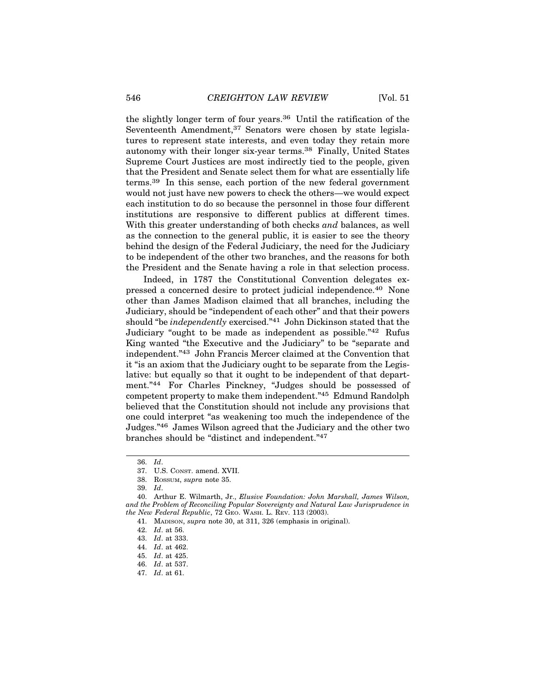the slightly longer term of four years.36 Until the ratification of the Seventeenth Amendment,<sup>37</sup> Senators were chosen by state legislatures to represent state interests, and even today they retain more autonomy with their longer six-year terms.38 Finally, United States Supreme Court Justices are most indirectly tied to the people, given that the President and Senate select them for what are essentially life terms.39 In this sense, each portion of the new federal government would not just have new powers to check the others—we would expect each institution to do so because the personnel in those four different institutions are responsive to different publics at different times. With this greater understanding of both checks *and* balances, as well as the connection to the general public, it is easier to see the theory behind the design of the Federal Judiciary, the need for the Judiciary to be independent of the other two branches, and the reasons for both the President and the Senate having a role in that selection process.

Indeed, in 1787 the Constitutional Convention delegates expressed a concerned desire to protect judicial independence.40 None other than James Madison claimed that all branches, including the Judiciary, should be "independent of each other" and that their powers should "be *independently* exercised."41 John Dickinson stated that the Judiciary "ought to be made as independent as possible."42 Rufus King wanted "the Executive and the Judiciary" to be "separate and independent."43 John Francis Mercer claimed at the Convention that it "is an axiom that the Judiciary ought to be separate from the Legislative: but equally so that it ought to be independent of that department."44 For Charles Pinckney, "Judges should be possessed of competent property to make them independent."45 Edmund Randolph believed that the Constitution should not include any provisions that one could interpret "as weakening too much the independence of the Judges."46 James Wilson agreed that the Judiciary and the other two branches should be "distinct and independent."47

<sup>36.</sup> *Id*.

<sup>37.</sup> U.S. CONST. amend. XVII.

<sup>38.</sup> ROSSUM, *supra* note 35.

<sup>39.</sup> *Id*.

<sup>40.</sup> Arthur E. Wilmarth, Jr., *Elusive Foundation: John Marshall, James Wilson, and the Problem of Reconciling Popular Sovereignty and Natural Law Jurisprudence in the New Federal Republic*, 72 GEO. WASH. L. REV. 113 (2003).

<sup>41.</sup> MADISON, *supra* note 30, at 311, 326 (emphasis in original).

<sup>42.</sup> *Id*. at 56.

<sup>43.</sup> *Id*. at 333.

<sup>44.</sup> *Id*. at 462.

<sup>45.</sup> *Id*. at 425.

<sup>46.</sup> *Id*. at 537.

<sup>47.</sup> *Id*. at 61.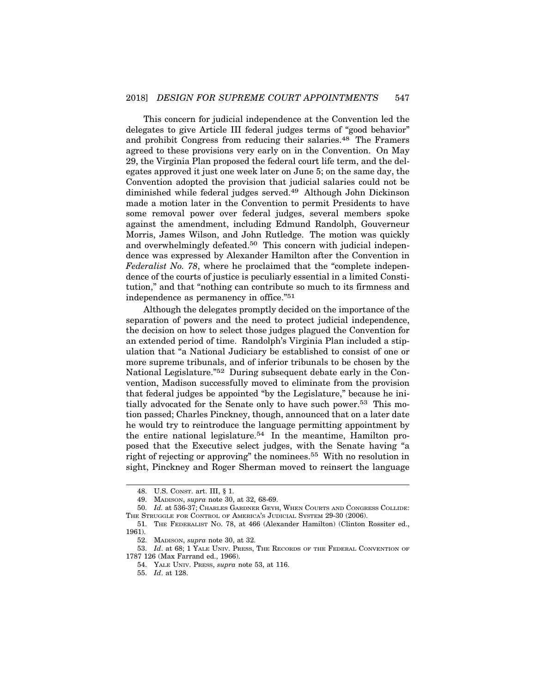This concern for judicial independence at the Convention led the delegates to give Article III federal judges terms of "good behavior" and prohibit Congress from reducing their salaries.<sup>48</sup> The Framers agreed to these provisions very early on in the Convention. On May 29, the Virginia Plan proposed the federal court life term, and the delegates approved it just one week later on June 5; on the same day, the Convention adopted the provision that judicial salaries could not be diminished while federal judges served.49 Although John Dickinson made a motion later in the Convention to permit Presidents to have some removal power over federal judges, several members spoke against the amendment, including Edmund Randolph, Gouverneur Morris, James Wilson, and John Rutledge. The motion was quickly and overwhelmingly defeated.<sup>50</sup> This concern with judicial independence was expressed by Alexander Hamilton after the Convention in *Federalist No. 78*, where he proclaimed that the "complete independence of the courts of justice is peculiarly essential in a limited Constitution," and that "nothing can contribute so much to its firmness and independence as permanency in office."51

Although the delegates promptly decided on the importance of the separation of powers and the need to protect judicial independence, the decision on how to select those judges plagued the Convention for an extended period of time. Randolph's Virginia Plan included a stipulation that "a National Judiciary be established to consist of one or more supreme tribunals, and of inferior tribunals to be chosen by the National Legislature."52 During subsequent debate early in the Convention, Madison successfully moved to eliminate from the provision that federal judges be appointed "by the Legislature," because he initially advocated for the Senate only to have such power.53 This motion passed; Charles Pinckney, though, announced that on a later date he would try to reintroduce the language permitting appointment by the entire national legislature.<sup>54</sup> In the meantime, Hamilton proposed that the Executive select judges, with the Senate having "a right of rejecting or approving" the nominees.55 With no resolution in sight, Pinckney and Roger Sherman moved to reinsert the language

<sup>48.</sup> U.S. CONST. art. III, § 1.

<sup>49.</sup> MADISON, *supra* note 30, at 32, 68-69.

<sup>50.</sup> *Id.* at 536-37; CHARLES GARDNER GEYH, WHEN COURTS AND CONGRESS COLLIDE: THE STRUGGLE FOR CONTROL OF AMERICA'S JUDICIAL SYSTEM 29-30 (2006).

<sup>51.</sup> THE FEDERALIST NO. 78, at 466 (Alexander Hamilton) (Clinton Rossiter ed., 1961).

<sup>52.</sup> MADISON, *supra* note 30, at 32.

<sup>53.</sup> *Id*. at 68; 1 YALE UNIV. PRESS, THE RECORDS OF THE FEDERAL CONVENTION OF 1787 126 (Max Farrand ed., 1966).

<sup>54.</sup> YALE UNIV. PRESS, *supra* note 53, at 116.

<sup>55.</sup> *Id*. at 128.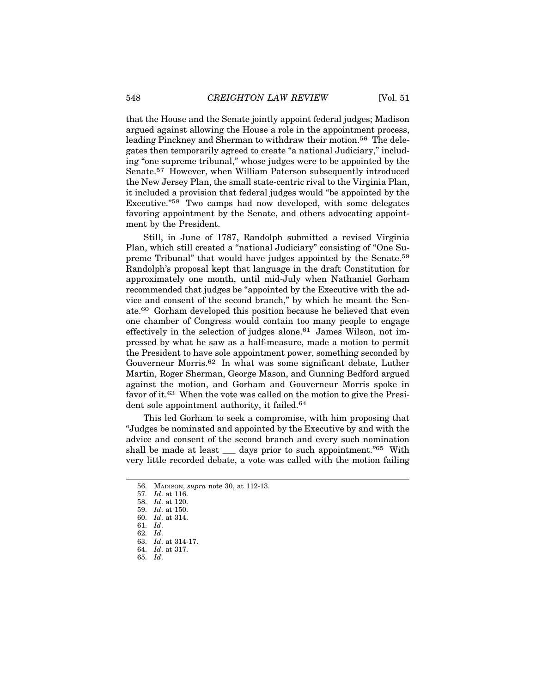that the House and the Senate jointly appoint federal judges; Madison argued against allowing the House a role in the appointment process, leading Pinckney and Sherman to withdraw their motion.<sup>56</sup> The delegates then temporarily agreed to create "a national Judiciary," including "one supreme tribunal," whose judges were to be appointed by the Senate.57 However, when William Paterson subsequently introduced the New Jersey Plan, the small state-centric rival to the Virginia Plan, it included a provision that federal judges would "be appointed by the Executive."58 Two camps had now developed, with some delegates favoring appointment by the Senate, and others advocating appointment by the President.

Still, in June of 1787, Randolph submitted a revised Virginia Plan, which still created a "national Judiciary" consisting of "One Supreme Tribunal" that would have judges appointed by the Senate.59 Randolph's proposal kept that language in the draft Constitution for approximately one month, until mid-July when Nathaniel Gorham recommended that judges be "appointed by the Executive with the advice and consent of the second branch," by which he meant the Senate.60 Gorham developed this position because he believed that even one chamber of Congress would contain too many people to engage effectively in the selection of judges alone.<sup>61</sup> James Wilson, not impressed by what he saw as a half-measure, made a motion to permit the President to have sole appointment power, something seconded by Gouverneur Morris.62 In what was some significant debate, Luther Martin, Roger Sherman, George Mason, and Gunning Bedford argued against the motion, and Gorham and Gouverneur Morris spoke in favor of it.63 When the vote was called on the motion to give the President sole appointment authority, it failed.<sup>64</sup>

This led Gorham to seek a compromise, with him proposing that "Judges be nominated and appointed by the Executive by and with the advice and consent of the second branch and every such nomination shall be made at least \_\_\_ days prior to such appointment."65 With very little recorded debate, a vote was called with the motion failing

<sup>56.</sup> MADISON, *supra* note 30, at 112-13.

<sup>57.</sup> *Id*. at 116.

<sup>58.</sup> *Id*. at 120.

<sup>59.</sup> *Id*. at 150.

<sup>60.</sup> *Id*. at 314.

<sup>61.</sup> *Id*.

<sup>62.</sup> *Id*.

<sup>63.</sup> *Id*. at 314-17.

<sup>64.</sup> *Id*. at 317.

<sup>65.</sup> *Id*.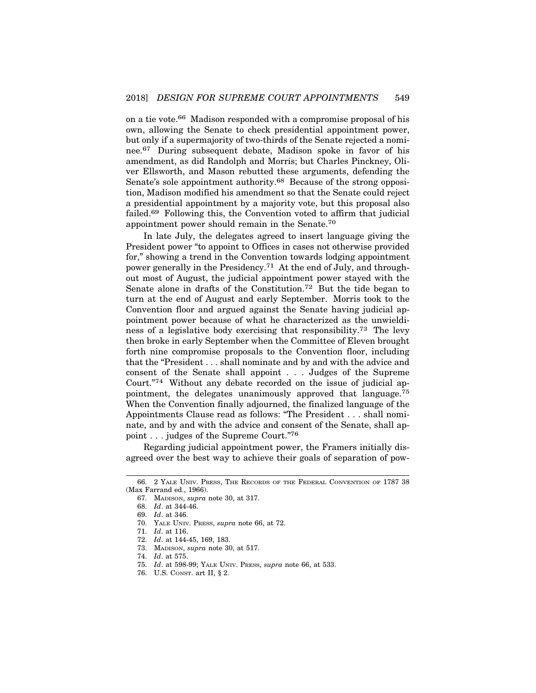on a tie vote.66 Madison responded with a compromise proposal of his own, allowing the Senate to check presidential appointment power, but only if a supermajority of two-thirds of the Senate rejected a nominee.67 During subsequent debate, Madison spoke in favor of his amendment, as did Randolph and Morris; but Charles Pinckney, Oliver Ellsworth, and Mason rebutted these arguments, defending the Senate's sole appointment authority.68 Because of the strong opposition, Madison modified his amendment so that the Senate could reject a presidential appointment by a majority vote, but this proposal also failed.69 Following this, the Convention voted to affirm that judicial appointment power should remain in the Senate.70

In late July, the delegates agreed to insert language giving the President power "to appoint to Offices in cases not otherwise provided for," showing a trend in the Convention towards lodging appointment power generally in the Presidency.71 At the end of July, and throughout most of August, the judicial appointment power stayed with the Senate alone in drafts of the Constitution.72 But the tide began to turn at the end of August and early September. Morris took to the Convention floor and argued against the Senate having judicial appointment power because of what he characterized as the unwieldiness of a legislative body exercising that responsibility.73 The levy then broke in early September when the Committee of Eleven brought forth nine compromise proposals to the Convention floor, including that the "President . . . shall nominate and by and with the advice and consent of the Senate shall appoint . . . Judges of the Supreme Court."74 Without any debate recorded on the issue of judicial appointment, the delegates unanimously approved that language.75 When the Convention finally adjourned, the finalized language of the Appointments Clause read as follows: "The President . . . shall nominate, and by and with the advice and consent of the Senate, shall appoint . . . judges of the Supreme Court."76

Regarding judicial appointment power, the Framers initially disagreed over the best way to achieve their goals of separation of pow-

<sup>66. 2</sup> YALE UNIV. PRESS, THE RECORDS OF THE FEDERAL CONVENTION OF 1787 38 (Max Farrand ed., 1966).

<sup>67.</sup> MADISON, *supra* note 30, at 317.

<sup>68.</sup> *Id*. at 344-46.

<sup>69.</sup> *Id*. at 346.

<sup>70.</sup> YALE UNIV. PRESS, *supra* note 66, at 72.

<sup>71.</sup> *Id*. at 116.

<sup>72.</sup> *Id*. at 144-45, 169, 183.

<sup>73.</sup> MADISON, *supra* note 30, at 517.

<sup>74.</sup> *Id*. at 575.

<sup>75.</sup> *Id*. at 598-99; YALE UNIV. PRESS, *supra* note 66, at 533.

<sup>76.</sup> U.S. CONST. art II, § 2.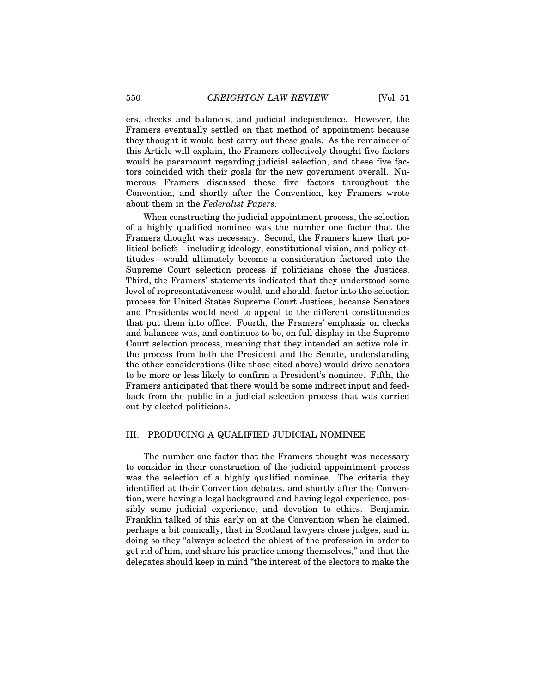ers, checks and balances, and judicial independence. However, the Framers eventually settled on that method of appointment because they thought it would best carry out these goals. As the remainder of this Article will explain, the Framers collectively thought five factors would be paramount regarding judicial selection, and these five factors coincided with their goals for the new government overall. Numerous Framers discussed these five factors throughout the Convention, and shortly after the Convention, key Framers wrote about them in the *Federalist Papers*.

When constructing the judicial appointment process, the selection of a highly qualified nominee was the number one factor that the Framers thought was necessary. Second, the Framers knew that political beliefs—including ideology, constitutional vision, and policy attitudes—would ultimately become a consideration factored into the Supreme Court selection process if politicians chose the Justices. Third, the Framers' statements indicated that they understood some level of representativeness would, and should, factor into the selection process for United States Supreme Court Justices, because Senators and Presidents would need to appeal to the different constituencies that put them into office. Fourth, the Framers' emphasis on checks and balances was, and continues to be, on full display in the Supreme Court selection process, meaning that they intended an active role in the process from both the President and the Senate, understanding the other considerations (like those cited above) would drive senators to be more or less likely to confirm a President's nominee. Fifth, the Framers anticipated that there would be some indirect input and feedback from the public in a judicial selection process that was carried out by elected politicians.

# III. PRODUCING A QUALIFIED JUDICIAL NOMINEE

The number one factor that the Framers thought was necessary to consider in their construction of the judicial appointment process was the selection of a highly qualified nominee. The criteria they identified at their Convention debates, and shortly after the Convention, were having a legal background and having legal experience, possibly some judicial experience, and devotion to ethics. Benjamin Franklin talked of this early on at the Convention when he claimed, perhaps a bit comically, that in Scotland lawyers chose judges, and in doing so they "always selected the ablest of the profession in order to get rid of him, and share his practice among themselves," and that the delegates should keep in mind "the interest of the electors to make the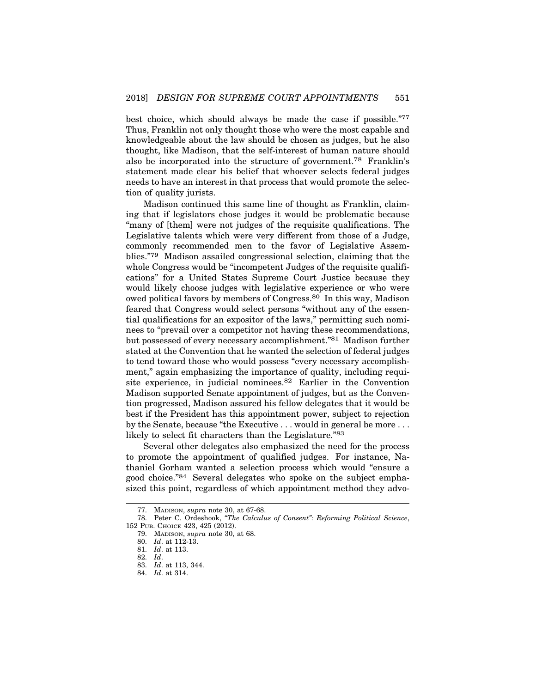best choice, which should always be made the case if possible."77 Thus, Franklin not only thought those who were the most capable and knowledgeable about the law should be chosen as judges, but he also thought, like Madison, that the self-interest of human nature should also be incorporated into the structure of government.78 Franklin's statement made clear his belief that whoever selects federal judges needs to have an interest in that process that would promote the selection of quality jurists.

Madison continued this same line of thought as Franklin, claiming that if legislators chose judges it would be problematic because "many of [them] were not judges of the requisite qualifications. The Legislative talents which were very different from those of a Judge, commonly recommended men to the favor of Legislative Assemblies."79 Madison assailed congressional selection, claiming that the whole Congress would be "incompetent Judges of the requisite qualifications" for a United States Supreme Court Justice because they would likely choose judges with legislative experience or who were owed political favors by members of Congress.80 In this way, Madison feared that Congress would select persons "without any of the essential qualifications for an expositor of the laws," permitting such nominees to "prevail over a competitor not having these recommendations, but possessed of every necessary accomplishment."81 Madison further stated at the Convention that he wanted the selection of federal judges to tend toward those who would possess "every necessary accomplishment," again emphasizing the importance of quality, including requisite experience, in judicial nominees.82 Earlier in the Convention Madison supported Senate appointment of judges, but as the Convention progressed, Madison assured his fellow delegates that it would be best if the President has this appointment power, subject to rejection by the Senate, because "the Executive . . . would in general be more . . . likely to select fit characters than the Legislature."83

Several other delegates also emphasized the need for the process to promote the appointment of qualified judges. For instance, Nathaniel Gorham wanted a selection process which would "ensure a good choice."84 Several delegates who spoke on the subject emphasized this point, regardless of which appointment method they advo-

<sup>77.</sup> MADISON, *supra* note 30, at 67-68.

<sup>78.</sup> Peter C. Ordeshook, *"The Calculus of Consent": Reforming Political Science*, 152 PUB. CHOICE 423, 425 (2012).

<sup>79.</sup> MADISON, *supra* note 30, at 68.

<sup>80.</sup> *Id*. at 112-13.

<sup>81.</sup> *Id*. at 113.

<sup>82.</sup> *Id*.

<sup>83.</sup> *Id*. at 113, 344.

<sup>84.</sup> *Id*. at 314.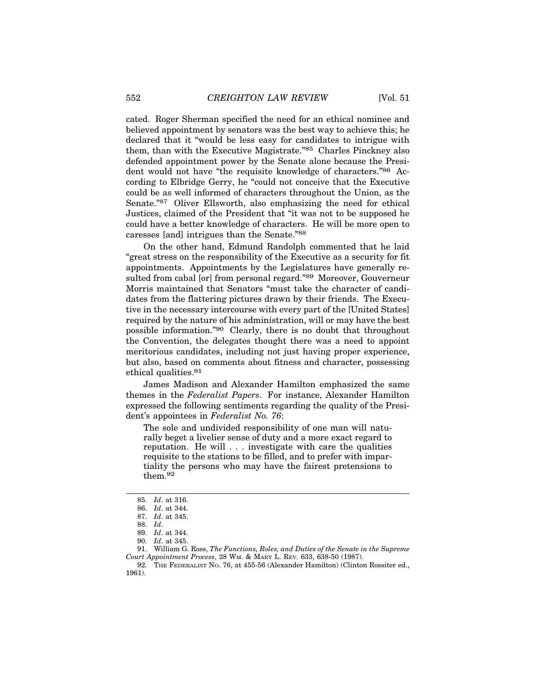cated. Roger Sherman specified the need for an ethical nominee and believed appointment by senators was the best way to achieve this; he declared that it "would be less easy for candidates to intrigue with them, than with the Executive Magistrate."85 Charles Pinckney also defended appointment power by the Senate alone because the President would not have "the requisite knowledge of characters."86 According to Elbridge Gerry, he "could not conceive that the Executive could be as well informed of characters throughout the Union, as the Senate."87 Oliver Ellsworth, also emphasizing the need for ethical Justices, claimed of the President that "it was not to be supposed he could have a better knowledge of characters. He will be more open to caresses [and] intrigues than the Senate."88

On the other hand, Edmund Randolph commented that he laid "great stress on the responsibility of the Executive as a security for fit appointments. Appointments by the Legislatures have generally resulted from cabal [or] from personal regard."89 Moreover, Gouverneur Morris maintained that Senators "must take the character of candidates from the flattering pictures drawn by their friends. The Executive in the necessary intercourse with every part of the [United States] required by the nature of his administration, will or may have the best possible information."90 Clearly, there is no doubt that throughout the Convention, the delegates thought there was a need to appoint meritorious candidates, including not just having proper experience, but also, based on comments about fitness and character, possessing ethical qualities.91

James Madison and Alexander Hamilton emphasized the same themes in the *Federalist Papers*. For instance, Alexander Hamilton expressed the following sentiments regarding the quality of the President's appointees in *Federalist No. 76*:

The sole and undivided responsibility of one man will naturally beget a livelier sense of duty and a more exact regard to reputation. He will . . . investigate with care the qualities requisite to the stations to be filled, and to prefer with impartiality the persons who may have the fairest pretensions to them.92

<sup>85.</sup> *Id*. at 316.

<sup>86.</sup> *Id*. at 344.

<sup>87.</sup> *Id*. at 345.

<sup>88.</sup> *Id*.

<sup>89.</sup> *Id*. at 344.

<sup>90.</sup> *Id*. at 345.

<sup>91.</sup> William G. Ross, *The Functions, Roles, and Duties of the Senate in the Supreme Court Appointment Process*, 28 WM. & MARY L. REV. 633, 638-50 (1987).

<sup>92.</sup> THE FEDERALIST NO. 76, at 455-56 (Alexander Hamilton) (Clinton Rossiter ed., 1961).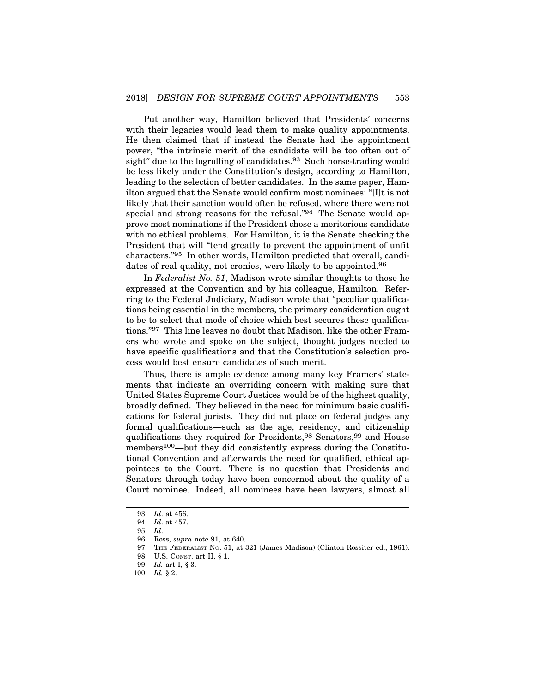Put another way, Hamilton believed that Presidents' concerns with their legacies would lead them to make quality appointments. He then claimed that if instead the Senate had the appointment power, "the intrinsic merit of the candidate will be too often out of sight" due to the logrolling of candidates.<sup>93</sup> Such horse-trading would be less likely under the Constitution's design, according to Hamilton, leading to the selection of better candidates. In the same paper, Hamilton argued that the Senate would confirm most nominees: "[I]t is not likely that their sanction would often be refused, where there were not special and strong reasons for the refusal."<sup>94</sup> The Senate would approve most nominations if the President chose a meritorious candidate with no ethical problems. For Hamilton, it is the Senate checking the President that will "tend greatly to prevent the appointment of unfit characters."95 In other words, Hamilton predicted that overall, candidates of real quality, not cronies, were likely to be appointed.<sup>96</sup>

In *Federalist No. 51*, Madison wrote similar thoughts to those he expressed at the Convention and by his colleague, Hamilton. Referring to the Federal Judiciary, Madison wrote that "peculiar qualifications being essential in the members, the primary consideration ought to be to select that mode of choice which best secures these qualifications."97 This line leaves no doubt that Madison, like the other Framers who wrote and spoke on the subject, thought judges needed to have specific qualifications and that the Constitution's selection process would best ensure candidates of such merit.

Thus, there is ample evidence among many key Framers' statements that indicate an overriding concern with making sure that United States Supreme Court Justices would be of the highest quality, broadly defined. They believed in the need for minimum basic qualifications for federal jurists. They did not place on federal judges any formal qualifications—such as the age, residency, and citizenship qualifications they required for Presidents,<sup>98</sup> Senators,<sup>99</sup> and House members<sup>100</sup>—but they did consistently express during the Constitutional Convention and afterwards the need for qualified, ethical appointees to the Court. There is no question that Presidents and Senators through today have been concerned about the quality of a Court nominee. Indeed, all nominees have been lawyers, almost all

97. THE FEDERALIST NO. 51, at 321 (James Madison) (Clinton Rossiter ed., 1961).

<sup>93.</sup> *Id*. at 456.

<sup>94.</sup> *Id*. at 457.

<sup>95.</sup> *Id*.

<sup>96.</sup> Ross, *supra* note 91, at 640.

<sup>98.</sup> U.S. CONST. art II, § 1.

<sup>99.</sup> *Id.* art I, § 3.

<sup>100.</sup> *Id.* § 2.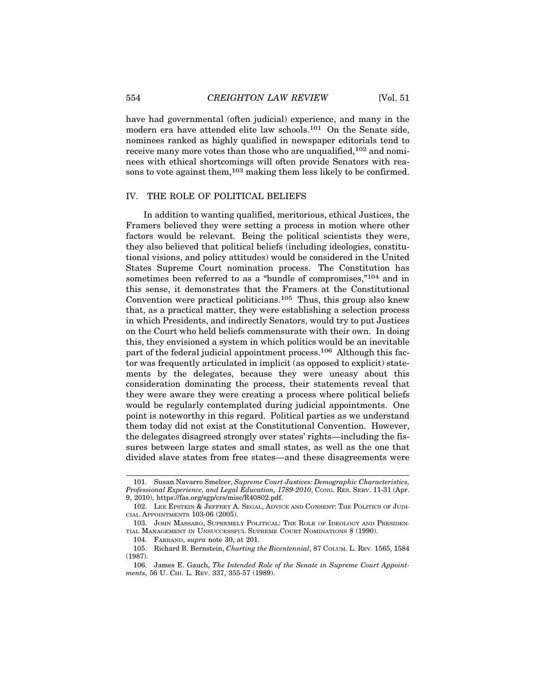have had governmental (often judicial) experience, and many in the modern era have attended elite law schools.101 On the Senate side, nominees ranked as highly qualified in newspaper editorials tend to receive many more votes than those who are unqualified, <sup>102</sup> and nominees with ethical shortcomings will often provide Senators with reasons to vote against them,<sup>103</sup> making them less likely to be confirmed.

#### IV. THE ROLE OF POLITICAL BELIEFS

In addition to wanting qualified, meritorious, ethical Justices, the Framers believed they were setting a process in motion where other factors would be relevant. Being the political scientists they were, they also believed that political beliefs (including ideologies, constitutional visions, and policy attitudes) would be considered in the United States Supreme Court nomination process. The Constitution has sometimes been referred to as a "bundle of compromises,"<sup>104</sup> and in this sense, it demonstrates that the Framers at the Constitutional Convention were practical politicians.105 Thus, this group also knew that, as a practical matter, they were establishing a selection process in which Presidents, and indirectly Senators, would try to put Justices on the Court who held beliefs commensurate with their own. In doing this, they envisioned a system in which politics would be an inevitable part of the federal judicial appointment process.106 Although this factor was frequently articulated in implicit (as opposed to explicit) statements by the delegates, because they were uneasy about this consideration dominating the process, their statements reveal that they were aware they were creating a process where political beliefs would be regularly contemplated during judicial appointments. One point is noteworthy in this regard. Political parties as we understand them today did not exist at the Constitutional Convention. However, the delegates disagreed strongly over states' rights—including the fissures between large states and small states, as well as the one that divided slave states from free states—and these disagreements were

<sup>101.</sup> Susan Navarro Smelcer, *Supreme Court Justices: Demographic Characteristics, Professional Experience, and Legal Education, 1789-2010*, CONG. RES. SERV. 11-31 (Apr.

<sup>9, 2010),</sup> https://fas.org/sgp/crs/misc/R40802.pdf.

<sup>102.</sup> LEE EPSTEIN & JEFFREY A. SEGAL, ADVICE AND CONSENT: THE POLITICS OF JUDI-CIAL APPOINTMENTS 103-06 (2005).

<sup>103.</sup> JOHN MASSARO, SUPREMELY POLITICAL: THE ROLE OF IDEOLOGY AND PRESIDEN-TIAL MANAGEMENT IN UNSUCCESSFUL SUPREME COURT NOMINATIONS 8 (1990).

<sup>104.</sup> FARRAND, *supra* note 30, at 201.

<sup>105.</sup> Richard B. Bernstein, *Charting the Bicentennial*, 87 COLUM. L. REV. 1565, 1584 (1987).

<sup>106.</sup> James E. Gauch, *The Intended Role of the Senate in Supreme Court Appointments*, 56 U. CHI. L. REV. 337, 355-57 (1989).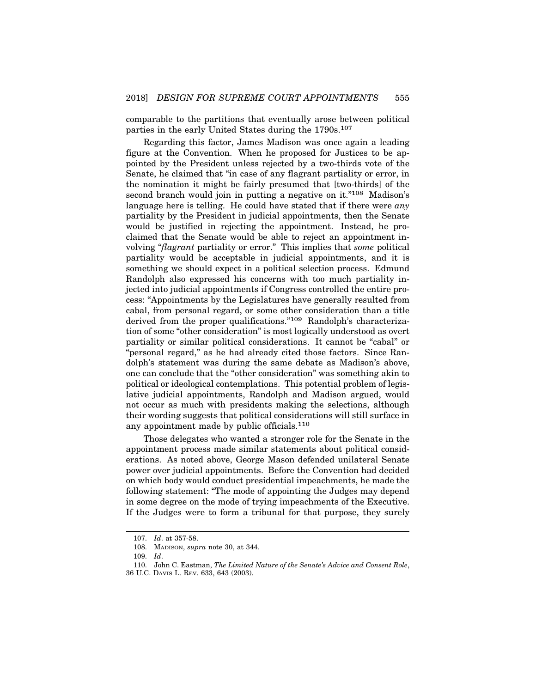comparable to the partitions that eventually arose between political parties in the early United States during the 1790s.<sup>107</sup>

Regarding this factor, James Madison was once again a leading figure at the Convention. When he proposed for Justices to be appointed by the President unless rejected by a two-thirds vote of the Senate, he claimed that "in case of any flagrant partiality or error, in the nomination it might be fairly presumed that [two-thirds] of the second branch would join in putting a negative on it."<sup>108</sup> Madison's language here is telling. He could have stated that if there were *any* partiality by the President in judicial appointments, then the Senate would be justified in rejecting the appointment. Instead, he proclaimed that the Senate would be able to reject an appointment involving "*flagrant* partiality or error." This implies that *some* political partiality would be acceptable in judicial appointments, and it is something we should expect in a political selection process. Edmund Randolph also expressed his concerns with too much partiality injected into judicial appointments if Congress controlled the entire process: "Appointments by the Legislatures have generally resulted from cabal, from personal regard, or some other consideration than a title derived from the proper qualifications."109 Randolph's characterization of some "other consideration" is most logically understood as overt partiality or similar political considerations. It cannot be "cabal" or "personal regard," as he had already cited those factors. Since Randolph's statement was during the same debate as Madison's above, one can conclude that the "other consideration" was something akin to political or ideological contemplations. This potential problem of legislative judicial appointments, Randolph and Madison argued, would not occur as much with presidents making the selections, although their wording suggests that political considerations will still surface in any appointment made by public officials.<sup>110</sup>

Those delegates who wanted a stronger role for the Senate in the appointment process made similar statements about political considerations. As noted above, George Mason defended unilateral Senate power over judicial appointments. Before the Convention had decided on which body would conduct presidential impeachments, he made the following statement: "The mode of appointing the Judges may depend in some degree on the mode of trying impeachments of the Executive. If the Judges were to form a tribunal for that purpose, they surely

<sup>107.</sup> *Id*. at 357-58.

<sup>108.</sup> MADISON, *supra* note 30, at 344.

<sup>109.</sup> *Id*.

<sup>110.</sup> John C. Eastman, *The Limited Nature of the Senate's Advice and Consent Role*, 36 U.C. DAVIS L. REV. 633, 643 (2003).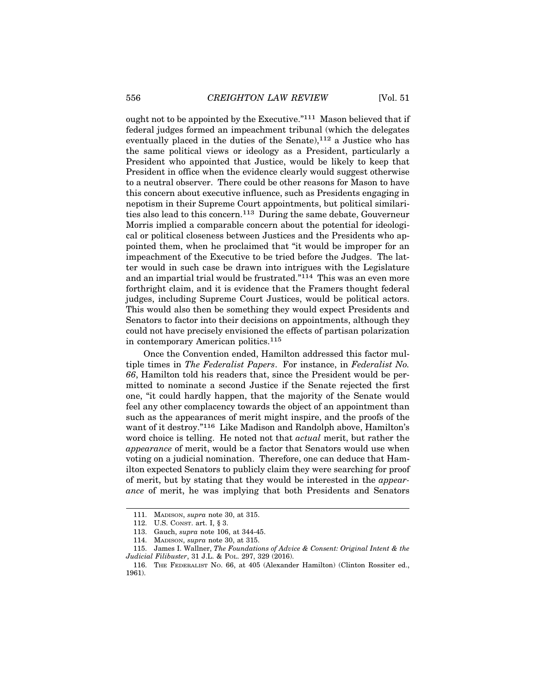ought not to be appointed by the Executive."111 Mason believed that if federal judges formed an impeachment tribunal (which the delegates eventually placed in the duties of the Senate),<sup>112</sup> a Justice who has the same political views or ideology as a President, particularly a President who appointed that Justice, would be likely to keep that President in office when the evidence clearly would suggest otherwise to a neutral observer. There could be other reasons for Mason to have this concern about executive influence, such as Presidents engaging in nepotism in their Supreme Court appointments, but political similarities also lead to this concern.113 During the same debate, Gouverneur Morris implied a comparable concern about the potential for ideological or political closeness between Justices and the Presidents who appointed them, when he proclaimed that "it would be improper for an impeachment of the Executive to be tried before the Judges. The latter would in such case be drawn into intrigues with the Legislature and an impartial trial would be frustrated."114 This was an even more forthright claim, and it is evidence that the Framers thought federal judges, including Supreme Court Justices, would be political actors. This would also then be something they would expect Presidents and Senators to factor into their decisions on appointments, although they could not have precisely envisioned the effects of partisan polarization in contemporary American politics.115

Once the Convention ended, Hamilton addressed this factor multiple times in *The Federalist Papers*. For instance, in *Federalist No. 66*, Hamilton told his readers that, since the President would be permitted to nominate a second Justice if the Senate rejected the first one, "it could hardly happen, that the majority of the Senate would feel any other complacency towards the object of an appointment than such as the appearances of merit might inspire, and the proofs of the want of it destroy."116 Like Madison and Randolph above, Hamilton's word choice is telling. He noted not that *actual* merit, but rather the *appearance* of merit, would be a factor that Senators would use when voting on a judicial nomination. Therefore, one can deduce that Hamilton expected Senators to publicly claim they were searching for proof of merit, but by stating that they would be interested in the *appearance* of merit, he was implying that both Presidents and Senators

<sup>111.</sup> MADISON, *supra* note 30, at 315.

<sup>112.</sup> U.S. CONST. art. I, § 3.

<sup>113.</sup> Gauch, *supra* note 106, at 344-45.

<sup>114.</sup> MADISON, *supra* note 30, at 315.

<sup>115.</sup> James I. Wallner, *The Foundations of Advice & Consent: Original Intent & the Judicial Filibuster*, 31 J.L. & POL. 297, 329 (2016).

<sup>116.</sup> THE FEDERALIST NO. 66, at 405 (Alexander Hamilton) (Clinton Rossiter ed., 1961).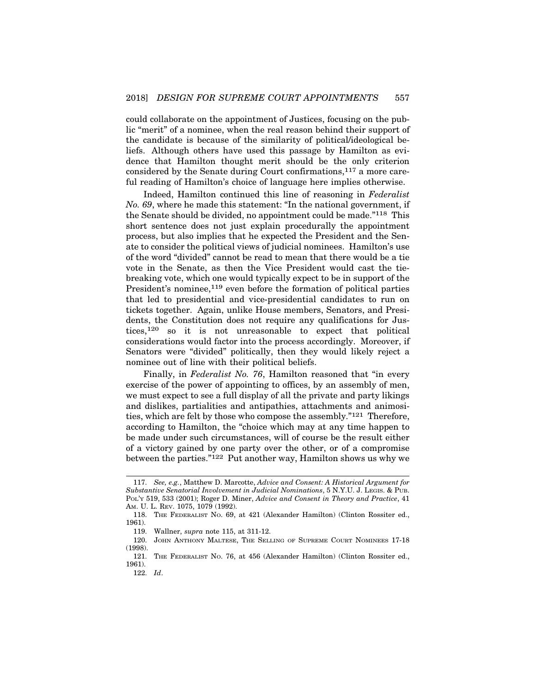could collaborate on the appointment of Justices, focusing on the public "merit" of a nominee, when the real reason behind their support of the candidate is because of the similarity of political/ideological beliefs. Although others have used this passage by Hamilton as evidence that Hamilton thought merit should be the only criterion considered by the Senate during Court confirmations, $117$  a more careful reading of Hamilton's choice of language here implies otherwise.

Indeed, Hamilton continued this line of reasoning in *Federalist No. 69*, where he made this statement: "In the national government, if the Senate should be divided, no appointment could be made."118 This short sentence does not just explain procedurally the appointment process, but also implies that he expected the President and the Senate to consider the political views of judicial nominees. Hamilton's use of the word "divided" cannot be read to mean that there would be a tie vote in the Senate, as then the Vice President would cast the tiebreaking vote, which one would typically expect to be in support of the President's nominee,<sup>119</sup> even before the formation of political parties that led to presidential and vice-presidential candidates to run on tickets together. Again, unlike House members, Senators, and Presidents, the Constitution does not require any qualifications for Justices,120 so it is not unreasonable to expect that political considerations would factor into the process accordingly. Moreover, if Senators were "divided" politically, then they would likely reject a nominee out of line with their political beliefs.

Finally, in *Federalist No. 76*, Hamilton reasoned that "in every exercise of the power of appointing to offices, by an assembly of men, we must expect to see a full display of all the private and party likings and dislikes, partialities and antipathies, attachments and animosities, which are felt by those who compose the assembly."121 Therefore, according to Hamilton, the "choice which may at any time happen to be made under such circumstances, will of course be the result either of a victory gained by one party over the other, or of a compromise between the parties."122 Put another way, Hamilton shows us why we

<sup>117.</sup> *See, e.g.*, Matthew D. Marcotte, *Advice and Consent: A Historical Argument for Substantive Senatorial Involvement in Judicial Nominations*, 5 N.Y.U. J. LEGIS. & PUB. POL'Y 519, 533 (2001); Roger D. Miner, *Advice and Consent in Theory and Practice*, 41 AM. U. L. REV. 1075, 1079 (1992).

<sup>118.</sup> THE FEDERALIST NO. 69, at 421 (Alexander Hamilton) (Clinton Rossiter ed., 1961).

<sup>119.</sup> Wallner, *supra* note 115, at 311-12.

<sup>120.</sup> JOHN ANTHONY MALTESE, THE SELLING OF SUPREME COURT NOMINEES 17-18 (1998).

<sup>121.</sup> THE FEDERALIST NO. 76, at 456 (Alexander Hamilton) (Clinton Rossiter ed., 1961).

<sup>122.</sup> *Id*.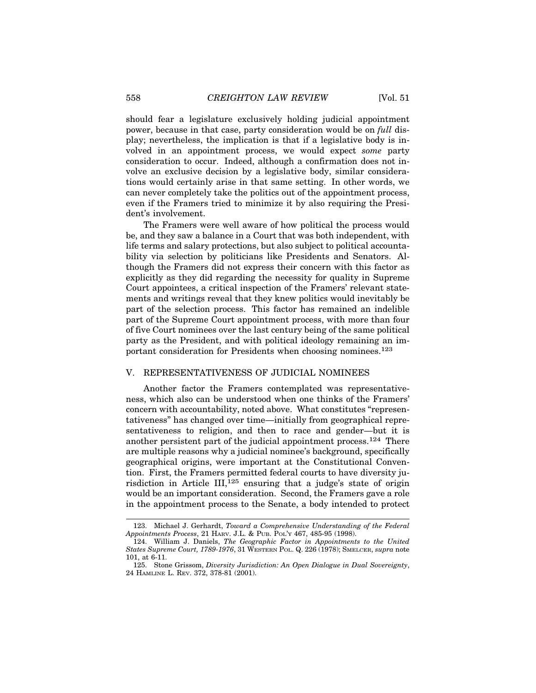should fear a legislature exclusively holding judicial appointment power, because in that case, party consideration would be on *full* display; nevertheless, the implication is that if a legislative body is involved in an appointment process, we would expect *some* party consideration to occur. Indeed, although a confirmation does not involve an exclusive decision by a legislative body, similar considerations would certainly arise in that same setting. In other words, we can never completely take the politics out of the appointment process, even if the Framers tried to minimize it by also requiring the President's involvement.

The Framers were well aware of how political the process would be, and they saw a balance in a Court that was both independent, with life terms and salary protections, but also subject to political accountability via selection by politicians like Presidents and Senators. Although the Framers did not express their concern with this factor as explicitly as they did regarding the necessity for quality in Supreme Court appointees, a critical inspection of the Framers' relevant statements and writings reveal that they knew politics would inevitably be part of the selection process. This factor has remained an indelible part of the Supreme Court appointment process, with more than four of five Court nominees over the last century being of the same political party as the President, and with political ideology remaining an important consideration for Presidents when choosing nominees.<sup>123</sup>

## V. REPRESENTATIVENESS OF JUDICIAL NOMINEES

Another factor the Framers contemplated was representativeness, which also can be understood when one thinks of the Framers' concern with accountability, noted above. What constitutes "representativeness" has changed over time—initially from geographical representativeness to religion, and then to race and gender—but it is another persistent part of the judicial appointment process.124 There are multiple reasons why a judicial nominee's background, specifically geographical origins, were important at the Constitutional Convention. First, the Framers permitted federal courts to have diversity jurisdiction in Article III,125 ensuring that a judge's state of origin would be an important consideration. Second, the Framers gave a role in the appointment process to the Senate, a body intended to protect

<sup>123.</sup> Michael J. Gerhardt, *Toward a Comprehensive Understanding of the Federal Appointments Process*, 21 HARV. J.L. & PUB. POL'Y 467, 485-95 (1998).

<sup>124.</sup> William J. Daniels, *The Geographic Factor in Appointments to the United States Supreme Court, 1789-1976*, 31 WESTERN POL. Q. 226 (1978); SMELCER, *supra* note 101, at 6-11.

<sup>125.</sup> Stone Grissom, *Diversity Jurisdiction: An Open Dialogue in Dual Sovereignty*, 24 HAMLINE L. REV. 372, 378-81 (2001).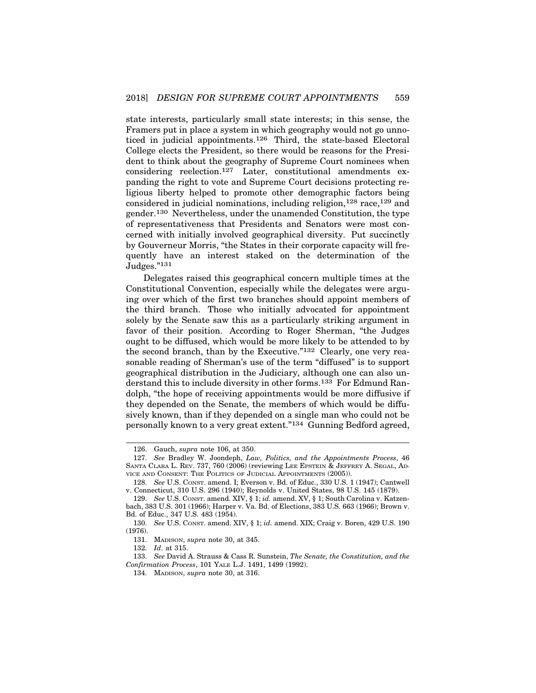state interests, particularly small state interests; in this sense, the Framers put in place a system in which geography would not go unnoticed in judicial appointments.126 Third, the state-based Electoral College elects the President, so there would be reasons for the President to think about the geography of Supreme Court nominees when considering reelection.127 Later, constitutional amendments expanding the right to vote and Supreme Court decisions protecting religious liberty helped to promote other demographic factors being considered in judicial nominations, including religion, $128$  race, $129$  and gender.130 Nevertheless, under the unamended Constitution, the type of representativeness that Presidents and Senators were most concerned with initially involved geographical diversity. Put succinctly by Gouverneur Morris, "the States in their corporate capacity will frequently have an interest staked on the determination of the Judges."131

Delegates raised this geographical concern multiple times at the Constitutional Convention, especially while the delegates were arguing over which of the first two branches should appoint members of the third branch. Those who initially advocated for appointment solely by the Senate saw this as a particularly striking argument in favor of their position. According to Roger Sherman, "the Judges ought to be diffused, which would be more likely to be attended to by the second branch, than by the Executive."132 Clearly, one very reasonable reading of Sherman's use of the term "diffused" is to support geographical distribution in the Judiciary, although one can also understand this to include diversity in other forms.133 For Edmund Randolph, "the hope of receiving appointments would be more diffusive if they depended on the Senate, the members of which would be diffusively known, than if they depended on a single man who could not be personally known to a very great extent."134 Gunning Bedford agreed,

132. *Id*. at 315.

133. *See* David A. Strauss & Cass R. Sunstein, *The Senate, the Constitution, and the Confirmation Process*, 101 YALE L.J. 1491, 1499 (1992).

<sup>126.</sup> Gauch, *supra* note 106, at 350.

<sup>127.</sup> *See* Bradley W. Joondeph, *Law, Politics, and the Appointments Process*, 46 SANTA CLARA L. REV. 737, 760 (2006) (reviewing LEE EPSTEIN & JEFFREY A. SEGAL, AD-VICE AND CONSENT: THE POLITICS OF JUDICIAL APPOINTMENTS (2005)).

<sup>128.</sup> *See* U.S. CONST. amend. I; Everson v. Bd. of Educ., 330 U.S. 1 (1947); Cantwell v. Connecticut, 310 U.S. 296 (1940); Reynolds v. United States, 98 U.S. 145 (1879).

<sup>129.</sup> *See* U.S. CONST. amend. XIV, § 1; *id.* amend. XV, § 1; South Carolina v. Katzenbach, 383 U.S. 301 (1966); Harper v. Va. Bd. of Elections, 383 U.S. 663 (1966); Brown v. Bd. of Educ., 347 U.S. 483 (1954).

<sup>130.</sup> *See* U.S. CONST. amend. XIV, § 1; *id.* amend. XIX; Craig v. Boren, 429 U.S. 190 (1976).

<sup>131.</sup> MADISON, *supra* note 30, at 345.

<sup>134.</sup> MADISON, *supra* note 30, at 316.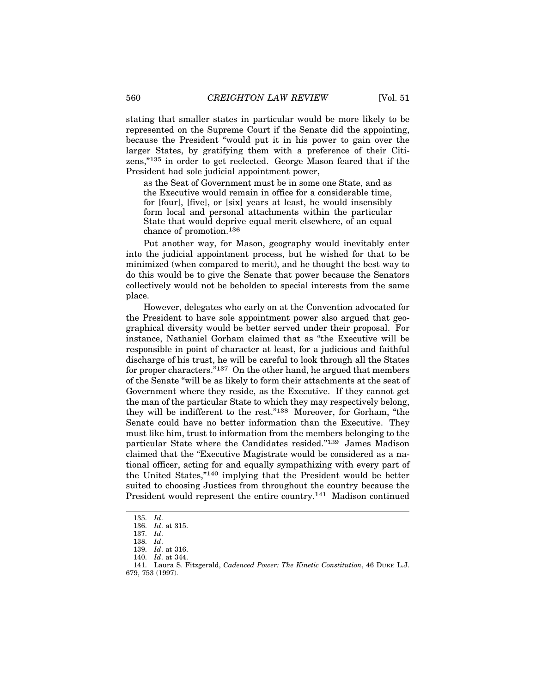stating that smaller states in particular would be more likely to be represented on the Supreme Court if the Senate did the appointing, because the President "would put it in his power to gain over the larger States, by gratifying them with a preference of their Citizens,"135 in order to get reelected. George Mason feared that if the President had sole judicial appointment power,

as the Seat of Government must be in some one State, and as the Executive would remain in office for a considerable time, for [four], [five], or [six] years at least, he would insensibly form local and personal attachments within the particular State that would deprive equal merit elsewhere, of an equal chance of promotion.136

Put another way, for Mason, geography would inevitably enter into the judicial appointment process, but he wished for that to be minimized (when compared to merit), and he thought the best way to do this would be to give the Senate that power because the Senators collectively would not be beholden to special interests from the same place.

However, delegates who early on at the Convention advocated for the President to have sole appointment power also argued that geographical diversity would be better served under their proposal. For instance, Nathaniel Gorham claimed that as "the Executive will be responsible in point of character at least, for a judicious and faithful discharge of his trust, he will be careful to look through all the States for proper characters."137 On the other hand, he argued that members of the Senate "will be as likely to form their attachments at the seat of Government where they reside, as the Executive. If they cannot get the man of the particular State to which they may respectively belong, they will be indifferent to the rest."138 Moreover, for Gorham, "the Senate could have no better information than the Executive. They must like him, trust to information from the members belonging to the particular State where the Candidates resided."139 James Madison claimed that the "Executive Magistrate would be considered as a national officer, acting for and equally sympathizing with every part of the United States,"140 implying that the President would be better suited to choosing Justices from throughout the country because the President would represent the entire country.141 Madison continued

<sup>135.</sup> *Id*.

<sup>136.</sup> *Id*. at 315.

<sup>137.</sup> *Id*.

<sup>138.</sup> *Id*.

<sup>139.</sup> *Id*. at 316.

<sup>140.</sup> *Id*. at 344.

<sup>141.</sup> Laura S. Fitzgerald, *Cadenced Power: The Kinetic Constitution*, 46 DUKE L.J. 679, 753 (1997).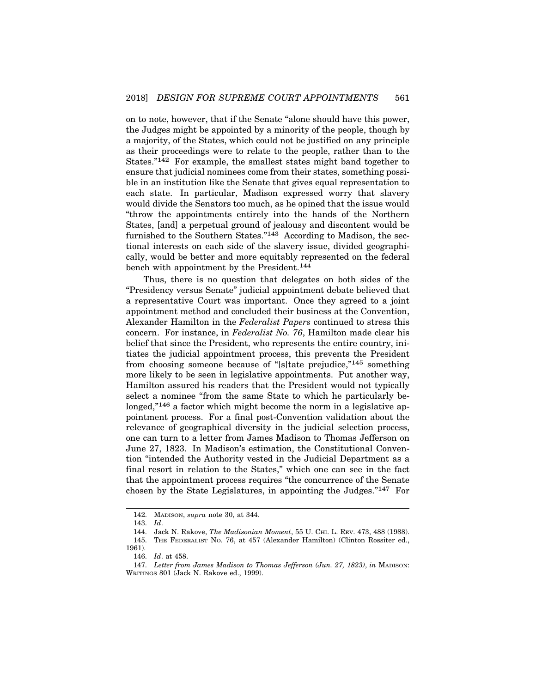on to note, however, that if the Senate "alone should have this power, the Judges might be appointed by a minority of the people, though by a majority, of the States, which could not be justified on any principle as their proceedings were to relate to the people, rather than to the States."142 For example, the smallest states might band together to ensure that judicial nominees come from their states, something possible in an institution like the Senate that gives equal representation to each state. In particular, Madison expressed worry that slavery would divide the Senators too much, as he opined that the issue would "throw the appointments entirely into the hands of the Northern States, [and] a perpetual ground of jealousy and discontent would be furnished to the Southern States."143 According to Madison, the sectional interests on each side of the slavery issue, divided geographically, would be better and more equitably represented on the federal bench with appointment by the President.144

Thus, there is no question that delegates on both sides of the "Presidency versus Senate" judicial appointment debate believed that a representative Court was important. Once they agreed to a joint appointment method and concluded their business at the Convention, Alexander Hamilton in the *Federalist Papers* continued to stress this concern. For instance, in *Federalist No. 76*, Hamilton made clear his belief that since the President, who represents the entire country, initiates the judicial appointment process, this prevents the President from choosing someone because of "[s]tate prejudice,"145 something more likely to be seen in legislative appointments. Put another way, Hamilton assured his readers that the President would not typically select a nominee "from the same State to which he particularly belonged,"<sup>146</sup> a factor which might become the norm in a legislative appointment process. For a final post-Convention validation about the relevance of geographical diversity in the judicial selection process, one can turn to a letter from James Madison to Thomas Jefferson on June 27, 1823. In Madison's estimation, the Constitutional Convention "intended the Authority vested in the Judicial Department as a final resort in relation to the States," which one can see in the fact that the appointment process requires "the concurrence of the Senate chosen by the State Legislatures, in appointing the Judges."147 For

<sup>142.</sup> MADISON, *supra* note 30, at 344.

<sup>143.</sup> *Id*.

<sup>144.</sup> Jack N. Rakove, *The Madisonian Moment*, 55 U. CHI. L. REV. 473, 488 (1988). 145. THE FEDERALIST NO. 76, at 457 (Alexander Hamilton) (Clinton Rossiter ed.,

<sup>1961).</sup>

<sup>146.</sup> *Id*. at 458.

<sup>147.</sup> *Letter from James Madison to Thomas Jefferson (Jun. 27, 1823)*, *in* MADISON: WRITINGS 801 (Jack N. Rakove ed., 1999).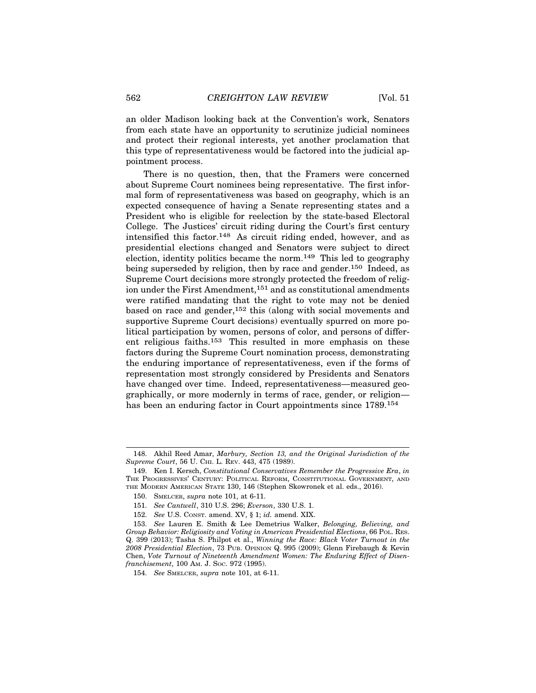an older Madison looking back at the Convention's work, Senators from each state have an opportunity to scrutinize judicial nominees and protect their regional interests, yet another proclamation that this type of representativeness would be factored into the judicial appointment process.

There is no question, then, that the Framers were concerned about Supreme Court nominees being representative. The first informal form of representativeness was based on geography, which is an expected consequence of having a Senate representing states and a President who is eligible for reelection by the state-based Electoral College. The Justices' circuit riding during the Court's first century intensified this factor.148 As circuit riding ended, however, and as presidential elections changed and Senators were subject to direct election, identity politics became the norm.149 This led to geography being superseded by religion, then by race and gender.<sup>150</sup> Indeed, as Supreme Court decisions more strongly protected the freedom of religion under the First Amendment,151 and as constitutional amendments were ratified mandating that the right to vote may not be denied based on race and gender,152 this (along with social movements and supportive Supreme Court decisions) eventually spurred on more political participation by women, persons of color, and persons of different religious faiths.153 This resulted in more emphasis on these factors during the Supreme Court nomination process, demonstrating the enduring importance of representativeness, even if the forms of representation most strongly considered by Presidents and Senators have changed over time. Indeed, representativeness—measured geographically, or more modernly in terms of race, gender, or religion has been an enduring factor in Court appointments since 1789.154

<sup>148.</sup> Akhil Reed Amar, *Marbury, Section 13, and the Original Jurisdiction of the Supreme Court*, 56 U. CHI. L. REV. 443, 475 (1989).

<sup>149.</sup> Ken I. Kersch, *Constitutional Conservatives Remember the Progressive Era*, *in* THE PROGRESSIVES' CENTURY: POLITICAL REFORM, CONSTITUTIONAL GOVERNMENT, AND THE MODERN AMERICAN STATE 130, 146 (Stephen Skowronek et al. eds., 2016).

<sup>150.</sup> SMELCER, *supra* note 101, at 6-11.

<sup>151.</sup> *See Cantwell*, 310 U.S. 296; *Everson*, 330 U.S. 1.

<sup>152.</sup> *See* U.S. CONST. amend. XV, § 1; *id.* amend. XIX.

<sup>153.</sup> *See* Lauren E. Smith & Lee Demetrius Walker, *Belonging, Believing, and Group Behavior: Religiosity and Voting in American Presidential Elections*, 66 POL. RES. Q. 399 (2013); Tasha S. Philpot et al., *Winning the Race: Black Voter Turnout in the 2008 Presidential Election*, 73 PUB. OPINION Q. 995 (2009); Glenn Firebaugh & Kevin Chen, *Vote Turnout of Nineteenth Amendment Women: The Enduring Effect of Disenfranchisement*, 100 AM. J. SOC. 972 (1995).

<sup>154.</sup> *See* SMELCER, *supra* note 101, at 6-11.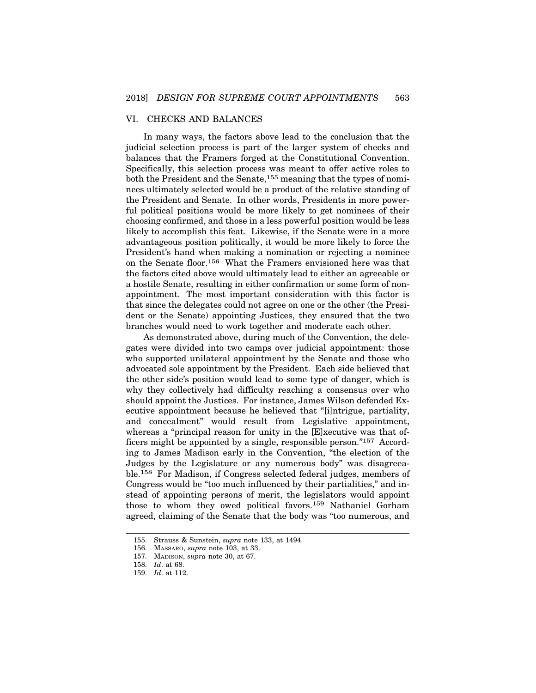### VI. CHECKS AND BALANCES

In many ways, the factors above lead to the conclusion that the judicial selection process is part of the larger system of checks and balances that the Framers forged at the Constitutional Convention. Specifically, this selection process was meant to offer active roles to both the President and the Senate,155 meaning that the types of nominees ultimately selected would be a product of the relative standing of the President and Senate. In other words, Presidents in more powerful political positions would be more likely to get nominees of their choosing confirmed, and those in a less powerful position would be less likely to accomplish this feat. Likewise, if the Senate were in a more advantageous position politically, it would be more likely to force the President's hand when making a nomination or rejecting a nominee on the Senate floor.156 What the Framers envisioned here was that the factors cited above would ultimately lead to either an agreeable or a hostile Senate, resulting in either confirmation or some form of nonappointment. The most important consideration with this factor is that since the delegates could not agree on one or the other (the President or the Senate) appointing Justices, they ensured that the two branches would need to work together and moderate each other.

As demonstrated above, during much of the Convention, the delegates were divided into two camps over judicial appointment: those who supported unilateral appointment by the Senate and those who advocated sole appointment by the President. Each side believed that the other side's position would lead to some type of danger, which is why they collectively had difficulty reaching a consensus over who should appoint the Justices. For instance, James Wilson defended Executive appointment because he believed that "[i]ntrigue, partiality, and concealment" would result from Legislative appointment, whereas a "principal reason for unity in the [E]xecutive was that officers might be appointed by a single, responsible person."157 According to James Madison early in the Convention, "the election of the Judges by the Legislature or any numerous body" was disagreeable.158 For Madison, if Congress selected federal judges, members of Congress would be "too much influenced by their partialities," and instead of appointing persons of merit, the legislators would appoint those to whom they owed political favors.159 Nathaniel Gorham agreed, claiming of the Senate that the body was "too numerous, and

<sup>155.</sup> Strauss & Sunstein, *supra* note 133, at 1494.

<sup>156.</sup> MASSARO, *supra* note 103, at 33.

<sup>157.</sup> MADISON, *supra* note 30, at 67.

<sup>158.</sup> *Id*. at 68.

<sup>159.</sup> *Id*. at 112.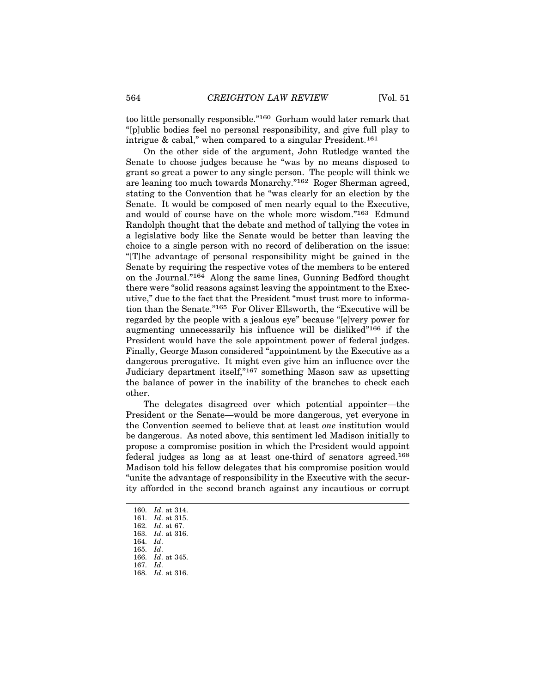too little personally responsible."160 Gorham would later remark that "[p]ublic bodies feel no personal responsibility, and give full play to intrigue & cabal," when compared to a singular President.<sup>161</sup>

On the other side of the argument, John Rutledge wanted the Senate to choose judges because he "was by no means disposed to grant so great a power to any single person. The people will think we are leaning too much towards Monarchy."162 Roger Sherman agreed, stating to the Convention that he "was clearly for an election by the Senate. It would be composed of men nearly equal to the Executive, and would of course have on the whole more wisdom."163 Edmund Randolph thought that the debate and method of tallying the votes in a legislative body like the Senate would be better than leaving the choice to a single person with no record of deliberation on the issue: "[T]he advantage of personal responsibility might be gained in the Senate by requiring the respective votes of the members to be entered on the Journal."164 Along the same lines, Gunning Bedford thought there were "solid reasons against leaving the appointment to the Executive," due to the fact that the President "must trust more to information than the Senate."165 For Oliver Ellsworth, the "Executive will be regarded by the people with a jealous eye" because "[e]very power for augmenting unnecessarily his influence will be disliked"166 if the President would have the sole appointment power of federal judges. Finally, George Mason considered "appointment by the Executive as a dangerous prerogative. It might even give him an influence over the Judiciary department itself,"167 something Mason saw as upsetting the balance of power in the inability of the branches to check each other.

The delegates disagreed over which potential appointer—the President or the Senate—would be more dangerous, yet everyone in the Convention seemed to believe that at least *one* institution would be dangerous. As noted above, this sentiment led Madison initially to propose a compromise position in which the President would appoint federal judges as long as at least one-third of senators agreed.168 Madison told his fellow delegates that his compromise position would "unite the advantage of responsibility in the Executive with the security afforded in the second branch against any incautious or corrupt

<sup>160.</sup> *Id*. at 314.

<sup>161.</sup> *Id*. at 315.

<sup>162.</sup> *Id*. at 67. 163. *Id*. at 316.

<sup>164.</sup> *Id*.

<sup>165.</sup> *Id*.

<sup>166.</sup> *Id*. at 345.

<sup>167.</sup> *Id*.

<sup>168.</sup> *Id*. at 316.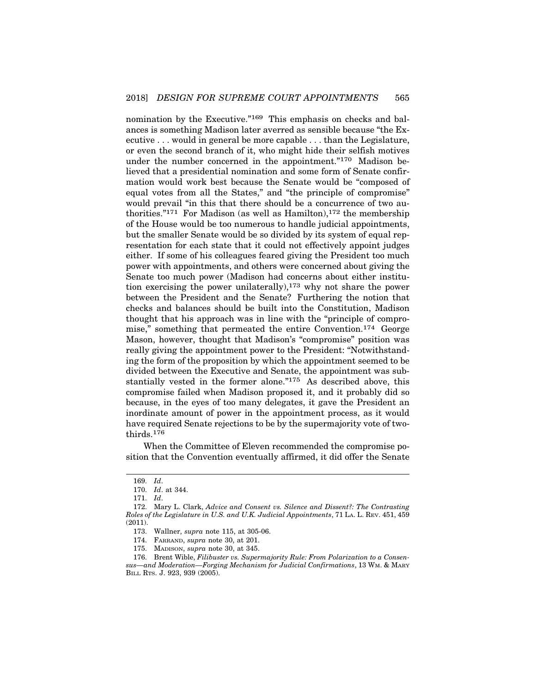nomination by the Executive."169 This emphasis on checks and balances is something Madison later averred as sensible because "the Executive . . . would in general be more capable . . . than the Legislature, or even the second branch of it, who might hide their selfish motives under the number concerned in the appointment."<sup>170</sup> Madison believed that a presidential nomination and some form of Senate confirmation would work best because the Senate would be "composed of equal votes from all the States," and "the principle of compromise" would prevail "in this that there should be a concurrence of two authorities."<sup>171</sup> For Madison (as well as Hamilton),<sup>172</sup> the membership of the House would be too numerous to handle judicial appointments, but the smaller Senate would be so divided by its system of equal representation for each state that it could not effectively appoint judges either. If some of his colleagues feared giving the President too much power with appointments, and others were concerned about giving the Senate too much power (Madison had concerns about either institution exercising the power unilaterally),173 why not share the power between the President and the Senate? Furthering the notion that checks and balances should be built into the Constitution, Madison thought that his approach was in line with the "principle of compromise," something that permeated the entire Convention.174 George Mason, however, thought that Madison's "compromise" position was really giving the appointment power to the President: "Notwithstanding the form of the proposition by which the appointment seemed to be divided between the Executive and Senate, the appointment was substantially vested in the former alone."<sup>175</sup> As described above, this compromise failed when Madison proposed it, and it probably did so because, in the eyes of too many delegates, it gave the President an inordinate amount of power in the appointment process, as it would have required Senate rejections to be by the supermajority vote of twothirds.176

When the Committee of Eleven recommended the compromise position that the Convention eventually affirmed, it did offer the Senate

<sup>169.</sup> *Id*.

<sup>170.</sup> *Id*. at 344.

<sup>171.</sup> *Id*.

<sup>172.</sup> Mary L. Clark, *Advice and Consent vs. Silence and Dissent?: The Contrasting Roles of the Legislature in U.S. and U.K. Judicial Appointments*, 71 LA. L. REV. 451, 459 (2011).

<sup>173.</sup> Wallner, *supra* note 115, at 305-06.

<sup>174.</sup> FARRAND, *supra* note 30, at 201.

<sup>175.</sup> MADISON, *supra* note 30, at 345.

<sup>176.</sup> Brent Wible, *Filibuster vs. Supermajority Rule: From Polarization to a Consensus—and Moderation—Forging Mechanism for Judicial Confirmations*, 13 WM. & MARY BILL RTS. J. 923, 939 (2005).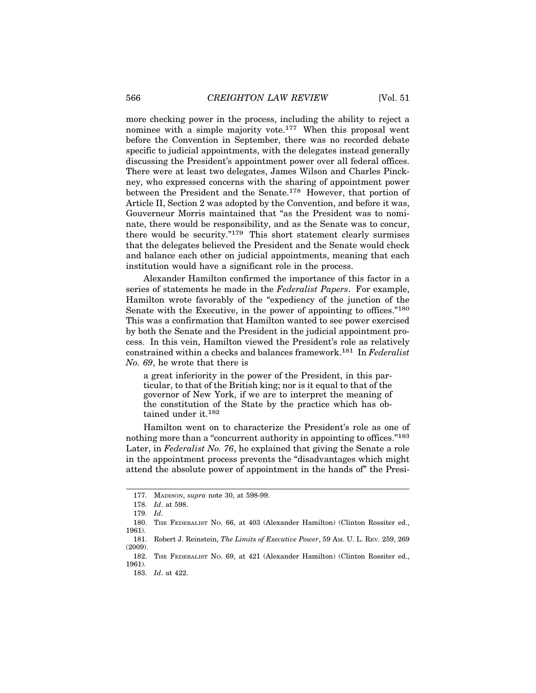more checking power in the process, including the ability to reject a nominee with a simple majority vote.177 When this proposal went before the Convention in September, there was no recorded debate specific to judicial appointments, with the delegates instead generally discussing the President's appointment power over all federal offices. There were at least two delegates, James Wilson and Charles Pinckney, who expressed concerns with the sharing of appointment power between the President and the Senate.178 However, that portion of Article II, Section 2 was adopted by the Convention, and before it was, Gouverneur Morris maintained that "as the President was to nominate, there would be responsibility, and as the Senate was to concur, there would be security."179 This short statement clearly surmises that the delegates believed the President and the Senate would check and balance each other on judicial appointments, meaning that each institution would have a significant role in the process.

Alexander Hamilton confirmed the importance of this factor in a series of statements he made in the *Federalist Papers*. For example, Hamilton wrote favorably of the "expediency of the junction of the Senate with the Executive, in the power of appointing to offices."180 This was a confirmation that Hamilton wanted to see power exercised by both the Senate and the President in the judicial appointment process. In this vein, Hamilton viewed the President's role as relatively constrained within a checks and balances framework.181 In *Federalist No. 69*, he wrote that there is

a great inferiority in the power of the President, in this particular, to that of the British king; nor is it equal to that of the governor of New York, if we are to interpret the meaning of the constitution of the State by the practice which has obtained under it.182

Hamilton went on to characterize the President's role as one of nothing more than a "concurrent authority in appointing to offices."183 Later, in *Federalist No. 76*, he explained that giving the Senate a role in the appointment process prevents the "disadvantages which might attend the absolute power of appointment in the hands of" the Presi-

<sup>177.</sup> MADISON, *supra* note 30, at 598-99.

<sup>178.</sup> *Id*. at 598.

<sup>179.</sup> *Id*.

<sup>180.</sup> THE FEDERALIST NO. 66, at 403 (Alexander Hamilton) (Clinton Rossiter ed., 1961).

<sup>181.</sup> Robert J. Reinstein, *The Limits of Executive Power*, 59 AM. U. L. REV. 259, 269 (2009).

<sup>182.</sup> THE FEDERALIST NO. 69, at 421 (Alexander Hamilton) (Clinton Rossiter ed., 1961).

<sup>183.</sup> *Id*. at 422.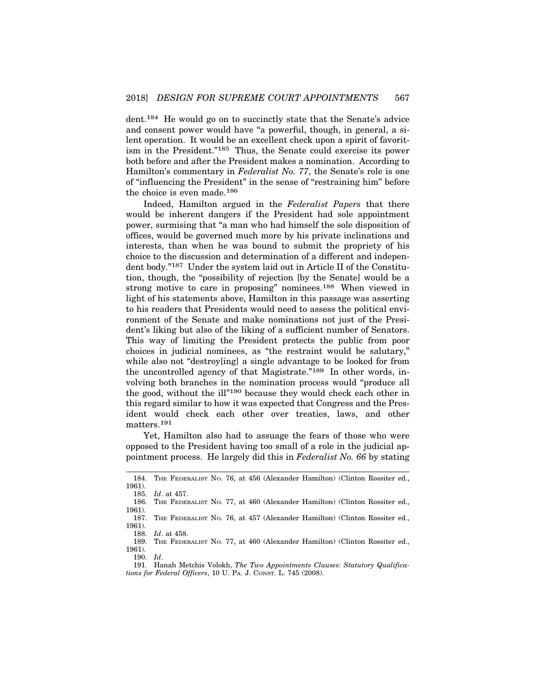dent.184 He would go on to succinctly state that the Senate's advice and consent power would have "a powerful, though, in general, a silent operation. It would be an excellent check upon a spirit of favoritism in the President."185 Thus, the Senate could exercise its power both before and after the President makes a nomination. According to Hamilton's commentary in *Federalist No. 77*, the Senate's role is one of "influencing the President" in the sense of "restraining him" before the choice is even made.186

Indeed, Hamilton argued in the *Federalist Papers* that there would be inherent dangers if the President had sole appointment power, surmising that "a man who had himself the sole disposition of offices, would be governed much more by his private inclinations and interests, than when he was bound to submit the propriety of his choice to the discussion and determination of a different and independent body."187 Under the system laid out in Article II of the Constitution, though, the "possibility of rejection [by the Senate] would be a strong motive to care in proposing" nominees.188 When viewed in light of his statements above, Hamilton in this passage was asserting to his readers that Presidents would need to assess the political environment of the Senate and make nominations not just of the President's liking but also of the liking of a sufficient number of Senators. This way of limiting the President protects the public from poor choices in judicial nominees, as "the restraint would be salutary," while also not "destroy[ing] a single advantage to be looked for from the uncontrolled agency of that Magistrate."189 In other words, involving both branches in the nomination process would "produce all the good, without the ill"190 because they would check each other in this regard similar to how it was expected that Congress and the President would check each other over treaties, laws, and other matters.191

Yet, Hamilton also had to assuage the fears of those who were opposed to the President having too small of a role in the judicial appointment process. He largely did this in *Federalist No. 66* by stating

189. THE FEDERALIST NO. 77, at 460 (Alexander Hamilton) (Clinton Rossiter ed., 1961).

<sup>184.</sup> THE FEDERALIST NO. 76, at 456 (Alexander Hamilton) (Clinton Rossiter ed., 1961).

*Id.* at 457.

<sup>186.</sup> THE FEDERALIST NO. 77, at 460 (Alexander Hamilton) (Clinton Rossiter ed.,  $\frac{1961}{187}$ .

THE FEDERALIST NO. 76, at 457 (Alexander Hamilton) (Clinton Rossiter ed., 1961).

*Id.* at 458.

<sup>190.</sup> *Id*.

<sup>191.</sup> Hanah Metchis Volokh, *The Two Appointments Clauses: Statutory Qualifications for Federal Officers*, 10 U. PA. J. CONST. L. 745 (2008).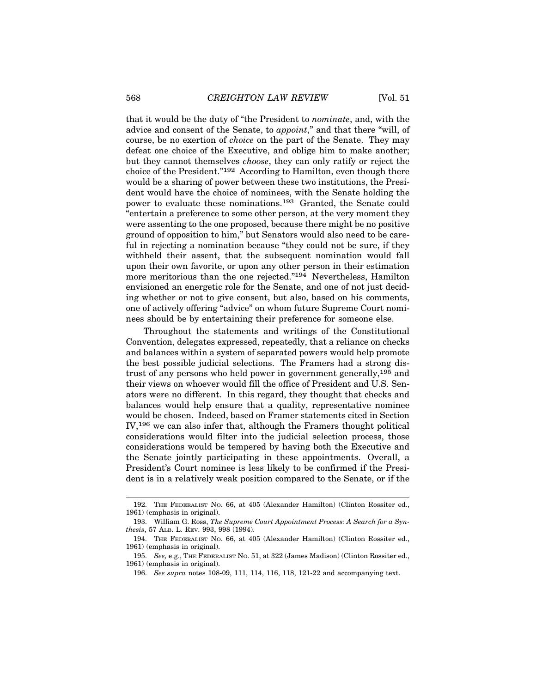that it would be the duty of "the President to *nominate*, and, with the advice and consent of the Senate, to *appoint*," and that there "will, of course, be no exertion of *choice* on the part of the Senate. They may defeat one choice of the Executive, and oblige him to make another; but they cannot themselves *choose*, they can only ratify or reject the choice of the President."192 According to Hamilton, even though there would be a sharing of power between these two institutions, the President would have the choice of nominees, with the Senate holding the power to evaluate these nominations.193 Granted, the Senate could "entertain a preference to some other person, at the very moment they were assenting to the one proposed, because there might be no positive ground of opposition to him," but Senators would also need to be careful in rejecting a nomination because "they could not be sure, if they withheld their assent, that the subsequent nomination would fall upon their own favorite, or upon any other person in their estimation more meritorious than the one rejected."194 Nevertheless, Hamilton envisioned an energetic role for the Senate, and one of not just deciding whether or not to give consent, but also, based on his comments, one of actively offering "advice" on whom future Supreme Court nominees should be by entertaining their preference for someone else.

Throughout the statements and writings of the Constitutional Convention, delegates expressed, repeatedly, that a reliance on checks and balances within a system of separated powers would help promote the best possible judicial selections. The Framers had a strong distrust of any persons who held power in government generally,195 and their views on whoever would fill the office of President and U.S. Senators were no different. In this regard, they thought that checks and balances would help ensure that a quality, representative nominee would be chosen. Indeed, based on Framer statements cited in Section IV,196 we can also infer that, although the Framers thought political considerations would filter into the judicial selection process, those considerations would be tempered by having both the Executive and the Senate jointly participating in these appointments. Overall, a President's Court nominee is less likely to be confirmed if the President is in a relatively weak position compared to the Senate, or if the

<sup>192.</sup> THE FEDERALIST NO. 66, at 405 (Alexander Hamilton) (Clinton Rossiter ed., 1961) (emphasis in original).

<sup>193.</sup> William G. Ross, *The Supreme Court Appointment Process: A Search for a Synthesis*, 57 ALB. L. REV. 993, 998 (1994).

<sup>194.</sup> THE FEDERALIST NO. 66, at 405 (Alexander Hamilton) (Clinton Rossiter ed., 1961) (emphasis in original).

<sup>195.</sup> *See,* e.g., THE FEDERALIST NO. 51, at 322 (James Madison) (Clinton Rossiter ed., 1961) (emphasis in original).

<sup>196.</sup> *See supra* notes 108-09, 111, 114, 116, 118, 121-22 and accompanying text.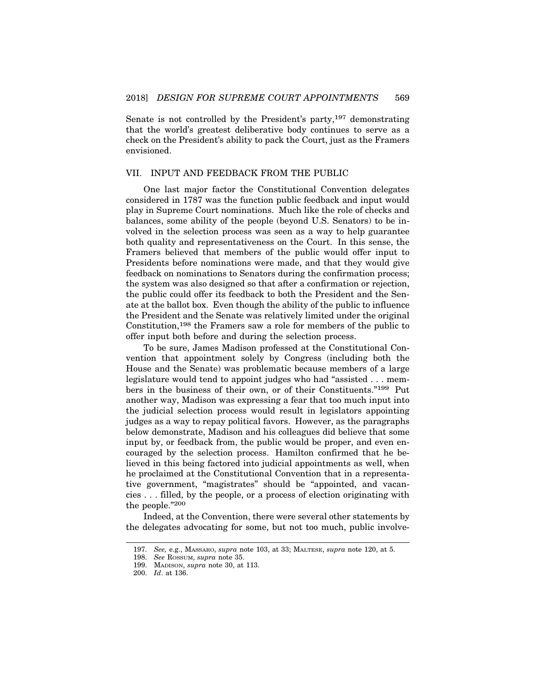Senate is not controlled by the President's party,  $197$  demonstrating that the world's greatest deliberative body continues to serve as a check on the President's ability to pack the Court, just as the Framers envisioned.

### VII. INPUT AND FEEDBACK FROM THE PUBLIC

One last major factor the Constitutional Convention delegates considered in 1787 was the function public feedback and input would play in Supreme Court nominations. Much like the role of checks and balances, some ability of the people (beyond U.S. Senators) to be involved in the selection process was seen as a way to help guarantee both quality and representativeness on the Court. In this sense, the Framers believed that members of the public would offer input to Presidents before nominations were made, and that they would give feedback on nominations to Senators during the confirmation process; the system was also designed so that after a confirmation or rejection, the public could offer its feedback to both the President and the Senate at the ballot box. Even though the ability of the public to influence the President and the Senate was relatively limited under the original Constitution,<sup>198</sup> the Framers saw a role for members of the public to offer input both before and during the selection process.

To be sure, James Madison professed at the Constitutional Convention that appointment solely by Congress (including both the House and the Senate) was problematic because members of a large legislature would tend to appoint judges who had "assisted . . . members in the business of their own, or of their Constituents."199 Put another way, Madison was expressing a fear that too much input into the judicial selection process would result in legislators appointing judges as a way to repay political favors. However, as the paragraphs below demonstrate, Madison and his colleagues did believe that some input by, or feedback from, the public would be proper, and even encouraged by the selection process. Hamilton confirmed that he believed in this being factored into judicial appointments as well, when he proclaimed at the Constitutional Convention that in a representative government, "magistrates" should be "appointed, and vacancies . . . filled, by the people, or a process of election originating with the people."<sup>200</sup>

Indeed, at the Convention, there were several other statements by the delegates advocating for some, but not too much, public involve-

<sup>197.</sup> *See,* e.g., MASSARO, *supra* note 103, at 33; MALTESE, *supra* note 120, at 5.

<sup>198.</sup> *See* ROSSUM, *supra* note 35.

<sup>199.</sup> MADISON, *supra* note 30, at 113.

<sup>200.</sup> *Id*. at 136.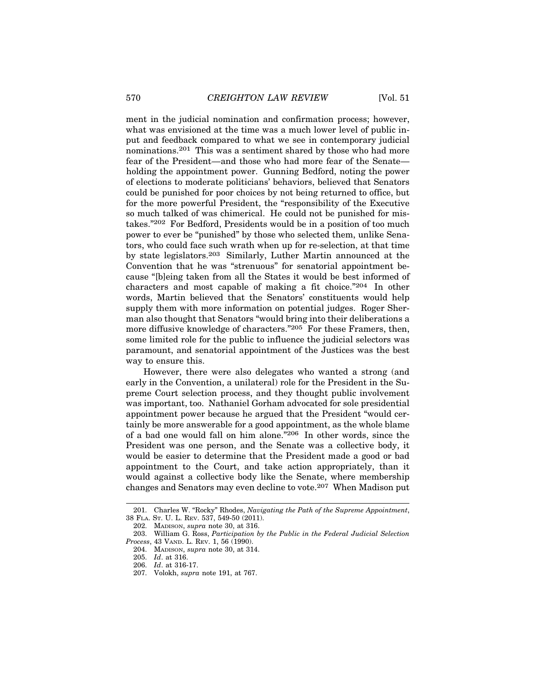ment in the judicial nomination and confirmation process; however, what was envisioned at the time was a much lower level of public input and feedback compared to what we see in contemporary judicial nominations.201 This was a sentiment shared by those who had more fear of the President—and those who had more fear of the Senate holding the appointment power. Gunning Bedford, noting the power of elections to moderate politicians' behaviors, believed that Senators could be punished for poor choices by not being returned to office, but for the more powerful President, the "responsibility of the Executive so much talked of was chimerical. He could not be punished for mistakes."202 For Bedford, Presidents would be in a position of too much power to ever be "punished" by those who selected them, unlike Senators, who could face such wrath when up for re-selection, at that time by state legislators.203 Similarly, Luther Martin announced at the Convention that he was "strenuous" for senatorial appointment because "[b]eing taken from all the States it would be best informed of characters and most capable of making a fit choice."204 In other words, Martin believed that the Senators' constituents would help supply them with more information on potential judges. Roger Sherman also thought that Senators "would bring into their deliberations a more diffusive knowledge of characters."205 For these Framers, then, some limited role for the public to influence the judicial selectors was paramount, and senatorial appointment of the Justices was the best way to ensure this.

However, there were also delegates who wanted a strong (and early in the Convention, a unilateral) role for the President in the Supreme Court selection process, and they thought public involvement was important, too. Nathaniel Gorham advocated for sole presidential appointment power because he argued that the President "would certainly be more answerable for a good appointment, as the whole blame of a bad one would fall on him alone."206 In other words, since the President was one person, and the Senate was a collective body, it would be easier to determine that the President made a good or bad appointment to the Court, and take action appropriately, than it would against a collective body like the Senate, where membership changes and Senators may even decline to vote.207 When Madison put

<sup>201.</sup> Charles W. "Rocky" Rhodes, *Navigating the Path of the Supreme Appointment*, 38 FLA. ST. U. L. REV. 537, 549-50 (2011).

<sup>202.</sup> MADISON, *supra* note 30, at 316.

<sup>203.</sup> William G. Ross, *Participation by the Public in the Federal Judicial Selection Process*, 43 VAND. L. REV. 1, 56 (1990).

<sup>204.</sup> MADISON, *supra* note 30, at 314.

<sup>205.</sup> *Id*. at 316.

<sup>206.</sup> *Id*. at 316-17.

<sup>207.</sup> Volokh, *supra* note 191, at 767.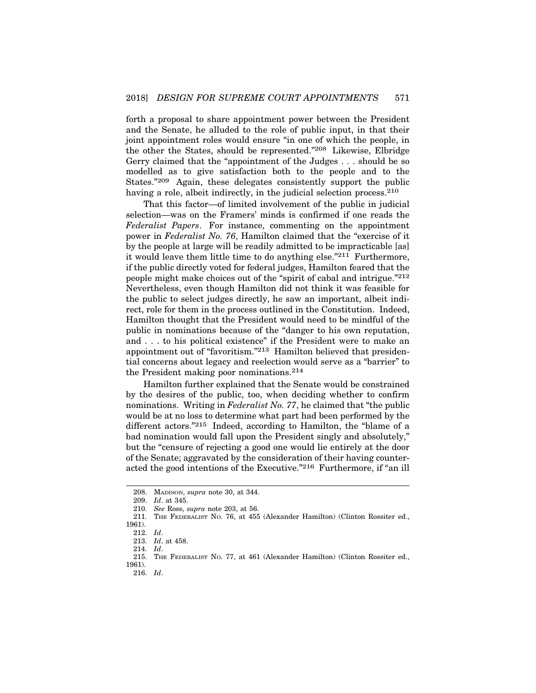forth a proposal to share appointment power between the President and the Senate, he alluded to the role of public input, in that their joint appointment roles would ensure "in one of which the people, in the other the States, should be represented."208 Likewise, Elbridge Gerry claimed that the "appointment of the Judges . . . should be so modelled as to give satisfaction both to the people and to the States."209 Again, these delegates consistently support the public having a role, albeit indirectly, in the judicial selection process.<sup>210</sup>

That this factor—of limited involvement of the public in judicial selection—was on the Framers' minds is confirmed if one reads the *Federalist Papers*. For instance, commenting on the appointment power in *Federalist No. 76*, Hamilton claimed that the "exercise of it by the people at large will be readily admitted to be impracticable [as] it would leave them little time to do anything else."211 Furthermore, if the public directly voted for federal judges, Hamilton feared that the people might make choices out of the "spirit of cabal and intrigue."212 Nevertheless, even though Hamilton did not think it was feasible for the public to select judges directly, he saw an important, albeit indirect, role for them in the process outlined in the Constitution. Indeed, Hamilton thought that the President would need to be mindful of the public in nominations because of the "danger to his own reputation, and . . . to his political existence" if the President were to make an appointment out of "favoritism."213 Hamilton believed that presidential concerns about legacy and reelection would serve as a "barrier" to the President making poor nominations.214

Hamilton further explained that the Senate would be constrained by the desires of the public, too, when deciding whether to confirm nominations. Writing in *Federalist No. 77*, he claimed that "the public would be at no loss to determine what part had been performed by the different actors."215 Indeed, according to Hamilton, the "blame of a bad nomination would fall upon the President singly and absolutely," but the "censure of rejecting a good one would lie entirely at the door of the Senate; aggravated by the consideration of their having counteracted the good intentions of the Executive."216 Furthermore, if "an ill

<sup>208.</sup> MADISON, *supra* note 30, at 344.

<sup>209.</sup> *Id*. at 345.

<sup>210.</sup> *See* Ross, *supra* note 203, at 56.

<sup>211.</sup> THE FEDERALIST NO. 76, at 455 (Alexander Hamilton) (Clinton Rossiter ed., 1961).

<sup>212.</sup> *Id*.

<sup>213.</sup> *Id*. at 458.

<sup>214.</sup> *Id*. THE FEDERALIST NO. 77, at 461 (Alexander Hamilton) (Clinton Rossiter ed., 1961).

<sup>216.</sup> *Id*.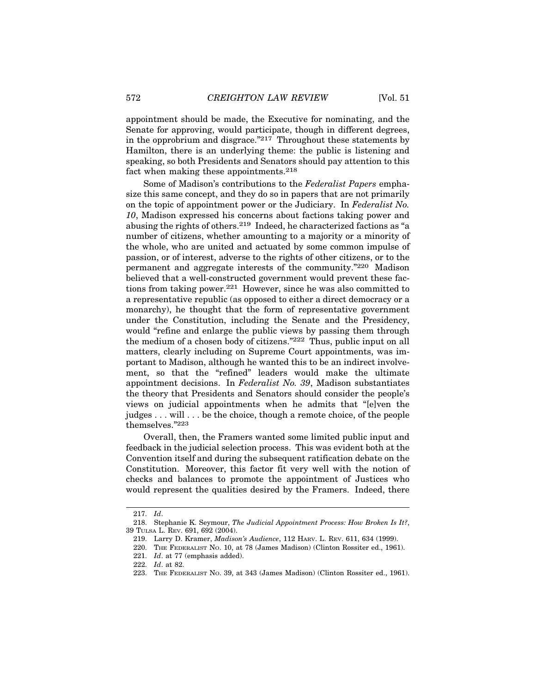appointment should be made, the Executive for nominating, and the Senate for approving, would participate, though in different degrees, in the opprobrium and disgrace."217 Throughout these statements by Hamilton, there is an underlying theme: the public is listening and speaking, so both Presidents and Senators should pay attention to this fact when making these appointments.<sup>218</sup>

Some of Madison's contributions to the *Federalist Papers* emphasize this same concept, and they do so in papers that are not primarily on the topic of appointment power or the Judiciary. In *Federalist No. 10*, Madison expressed his concerns about factions taking power and abusing the rights of others.219 Indeed, he characterized factions as "a number of citizens, whether amounting to a majority or a minority of the whole, who are united and actuated by some common impulse of passion, or of interest, adverse to the rights of other citizens, or to the permanent and aggregate interests of the community."220 Madison believed that a well-constructed government would prevent these factions from taking power.221 However, since he was also committed to a representative republic (as opposed to either a direct democracy or a monarchy), he thought that the form of representative government under the Constitution, including the Senate and the Presidency, would "refine and enlarge the public views by passing them through the medium of a chosen body of citizens."222 Thus, public input on all matters, clearly including on Supreme Court appointments, was important to Madison, although he wanted this to be an indirect involvement, so that the "refined" leaders would make the ultimate appointment decisions. In *Federalist No. 39*, Madison substantiates the theory that Presidents and Senators should consider the people's views on judicial appointments when he admits that "[e]ven the judges . . . will . . . be the choice, though a remote choice, of the people themselves."223

Overall, then, the Framers wanted some limited public input and feedback in the judicial selection process. This was evident both at the Convention itself and during the subsequent ratification debate on the Constitution. Moreover, this factor fit very well with the notion of checks and balances to promote the appointment of Justices who would represent the qualities desired by the Framers. Indeed, there

<sup>217.</sup> *Id*.

<sup>218.</sup> Stephanie K. Seymour, *The Judicial Appointment Process: How Broken Is It?*, 39 TULSA L. REV. 691, 692 (2004).

<sup>219.</sup> Larry D. Kramer, *Madison's Audience*, 112 HARV. L. REV. 611, 634 (1999).

<sup>220.</sup> THE FEDERALIST NO. 10, at 78 (James Madison) (Clinton Rossiter ed., 1961).

<sup>221.</sup> *Id*. at 77 (emphasis added).

<sup>222.</sup> *Id*. at 82.

<sup>223.</sup> THE FEDERALIST NO. 39, at 343 (James Madison) (Clinton Rossiter ed., 1961).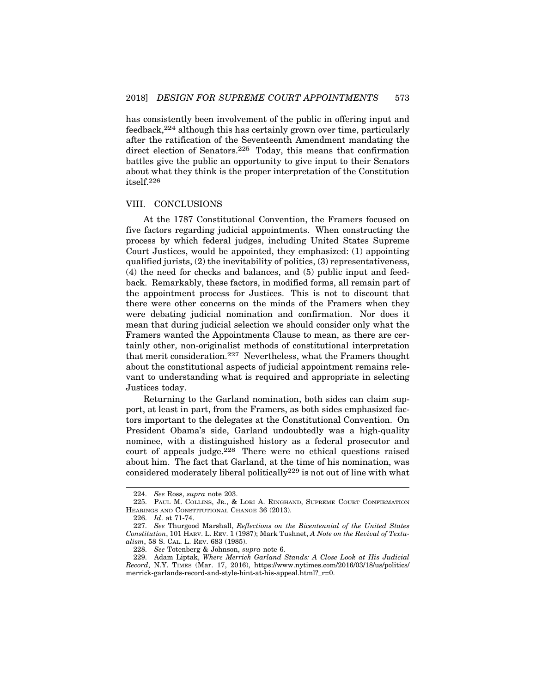has consistently been involvement of the public in offering input and feedback,224 although this has certainly grown over time, particularly after the ratification of the Seventeenth Amendment mandating the direct election of Senators.<sup>225</sup> Today, this means that confirmation battles give the public an opportunity to give input to their Senators about what they think is the proper interpretation of the Constitution itself.<sup>226</sup>

#### VIII. CONCLUSIONS

At the 1787 Constitutional Convention, the Framers focused on five factors regarding judicial appointments. When constructing the process by which federal judges, including United States Supreme Court Justices, would be appointed, they emphasized: (1) appointing qualified jurists, (2) the inevitability of politics, (3) representativeness, (4) the need for checks and balances, and (5) public input and feedback. Remarkably, these factors, in modified forms, all remain part of the appointment process for Justices. This is not to discount that there were other concerns on the minds of the Framers when they were debating judicial nomination and confirmation. Nor does it mean that during judicial selection we should consider only what the Framers wanted the Appointments Clause to mean, as there are certainly other, non-originalist methods of constitutional interpretation that merit consideration.227 Nevertheless, what the Framers thought about the constitutional aspects of judicial appointment remains relevant to understanding what is required and appropriate in selecting Justices today.

Returning to the Garland nomination, both sides can claim support, at least in part, from the Framers, as both sides emphasized factors important to the delegates at the Constitutional Convention. On President Obama's side, Garland undoubtedly was a high-quality nominee, with a distinguished history as a federal prosecutor and court of appeals judge.228 There were no ethical questions raised about him. The fact that Garland, at the time of his nomination, was considered moderately liberal politically229 is not out of line with what

<sup>224.</sup> *See* Ross, *supra* note 203.

<sup>225.</sup> PAUL M. COLLINS, JR., & LORI A. RINGHAND, SUPREME COURT CONFIRMATION HEARINGS AND CONSTITUTIONAL CHANGE 36 (2013).

<sup>226.</sup> *Id*. at 71-74.

<sup>227.</sup> *See* Thurgood Marshall, *Reflections on the Bicentennial of the United States Constitution*, 101 HARV. L. REV. 1 (1987); Mark Tushnet, *A Note on the Revival of Textualism*, 58 S. CAL. L. REV. 683 (1985).

<sup>228.</sup> *See* Totenberg & Johnson, *supra* note 6.

<sup>229.</sup> Adam Liptak, *Where Merrick Garland Stands: A Close Look at His Judicial Record*, N.Y. TIMES (Mar. 17, 2016), https://www.nytimes.com/2016/03/18/us/politics/ merrick-garlands-record-and-style-hint-at-his-appeal.html?\_r=0.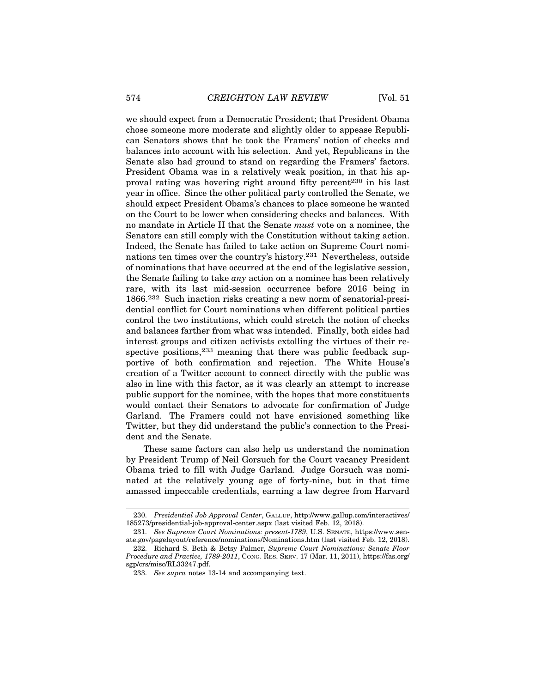we should expect from a Democratic President; that President Obama chose someone more moderate and slightly older to appease Republican Senators shows that he took the Framers' notion of checks and balances into account with his selection. And yet, Republicans in the Senate also had ground to stand on regarding the Framers' factors. President Obama was in a relatively weak position, in that his approval rating was hovering right around fifty percent<sup>230</sup> in his last year in office. Since the other political party controlled the Senate, we should expect President Obama's chances to place someone he wanted on the Court to be lower when considering checks and balances. With no mandate in Article II that the Senate *must* vote on a nominee, the Senators can still comply with the Constitution without taking action. Indeed, the Senate has failed to take action on Supreme Court nominations ten times over the country's history.231 Nevertheless, outside of nominations that have occurred at the end of the legislative session, the Senate failing to take *any* action on a nominee has been relatively rare, with its last mid-session occurrence before 2016 being in 1866.232 Such inaction risks creating a new norm of senatorial-presidential conflict for Court nominations when different political parties control the two institutions, which could stretch the notion of checks and balances farther from what was intended. Finally, both sides had interest groups and citizen activists extolling the virtues of their respective positions,<sup>233</sup> meaning that there was public feedback supportive of both confirmation and rejection. The White House's creation of a Twitter account to connect directly with the public was also in line with this factor, as it was clearly an attempt to increase public support for the nominee, with the hopes that more constituents would contact their Senators to advocate for confirmation of Judge Garland. The Framers could not have envisioned something like Twitter, but they did understand the public's connection to the President and the Senate.

These same factors can also help us understand the nomination by President Trump of Neil Gorsuch for the Court vacancy President Obama tried to fill with Judge Garland. Judge Gorsuch was nominated at the relatively young age of forty-nine, but in that time amassed impeccable credentials, earning a law degree from Harvard

<sup>230.</sup> *Presidential Job Approval Center*, GALLUP, http://www.gallup.com/interactives/ 185273/presidential-job-approval-center.aspx (last visited Feb. 12, 2018).

<sup>231.</sup> *See Supreme Court Nominations: present-1789*, U.S. SENATE, https://www.senate.gov/pagelayout/reference/nominations/Nominations.htm (last visited Feb. 12, 2018).

<sup>232.</sup> Richard S. Beth & Betsy Palmer, *Supreme Court Nominations: Senate Floor Procedure and Practice, 1789-2011*, CONG. RES. SERV. 17 (Mar. 11, 2011), https://fas.org/ sgp/crs/misc/RL33247.pdf.

<sup>233.</sup> *See supra* notes 13-14 and accompanying text.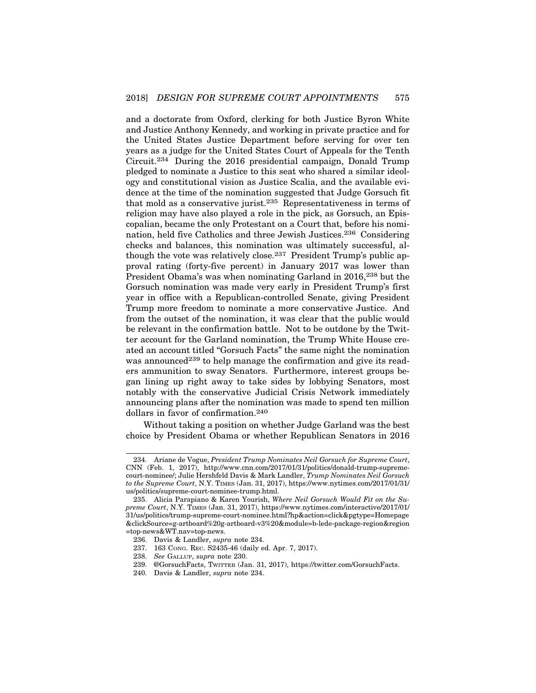and a doctorate from Oxford, clerking for both Justice Byron White and Justice Anthony Kennedy, and working in private practice and for the United States Justice Department before serving for over ten years as a judge for the United States Court of Appeals for the Tenth Circuit.234 During the 2016 presidential campaign, Donald Trump pledged to nominate a Justice to this seat who shared a similar ideology and constitutional vision as Justice Scalia, and the available evidence at the time of the nomination suggested that Judge Gorsuch fit that mold as a conservative jurist.235 Representativeness in terms of religion may have also played a role in the pick, as Gorsuch, an Episcopalian, became the only Protestant on a Court that, before his nomination, held five Catholics and three Jewish Justices.236 Considering checks and balances, this nomination was ultimately successful, although the vote was relatively close.237 President Trump's public approval rating (forty-five percent) in January 2017 was lower than President Obama's was when nominating Garland in 2016,<sup>238</sup> but the Gorsuch nomination was made very early in President Trump's first year in office with a Republican-controlled Senate, giving President Trump more freedom to nominate a more conservative Justice. And from the outset of the nomination, it was clear that the public would be relevant in the confirmation battle. Not to be outdone by the Twitter account for the Garland nomination, the Trump White House created an account titled "Gorsuch Facts" the same night the nomination was announced<sup>239</sup> to help manage the confirmation and give its readers ammunition to sway Senators. Furthermore, interest groups began lining up right away to take sides by lobbying Senators, most notably with the conservative Judicial Crisis Network immediately announcing plans after the nomination was made to spend ten million dollars in favor of confirmation.240

Without taking a position on whether Judge Garland was the best choice by President Obama or whether Republican Senators in 2016

<sup>234.</sup> Ariane de Vogue, *President Trump Nominates Neil Gorsuch for Supreme Court*, CNN (Feb. 1, 2017), http://www.cnn.com/2017/01/31/politics/donald-trump-supremecourt-nominee/; Julie Hershfeld Davis & Mark Landler, *Trump Nominates Neil Gorsuch to the Supreme Court*, N.Y. TIMES (Jan. 31, 2017), https://www.nytimes.com/2017/01/31/ us/politics/supreme-court-nominee-trump.html.

<sup>235.</sup> Alicia Parapiano & Karen Yourish, *Where Neil Gorsuch Would Fit on the Supreme Court*, N.Y. TIMES (Jan. 31, 2017), https://www.nytimes.com/interactive/2017/01/ 31/us/politics/trump-supreme-court-nominee.html?hp&action=click&pgtype=Homepage &clickSource=g-artboard%20g-artboard-v3%20&module=b-lede-package-region&region =top-news&WT.nav=top-news.

<sup>236.</sup> Davis & Landler, *supra* note 234.

<sup>237. 163</sup> CONG. REC. S2435-46 (daily ed. Apr. 7, 2017).

<sup>238.</sup> *See* GALLUP, *supra* note 230.

<sup>239. @</sup>GorsuchFacts, TWITTER (Jan. 31, 2017), https://twitter.com/GorsuchFacts.

<sup>240.</sup> Davis & Landler, *supra* note 234.